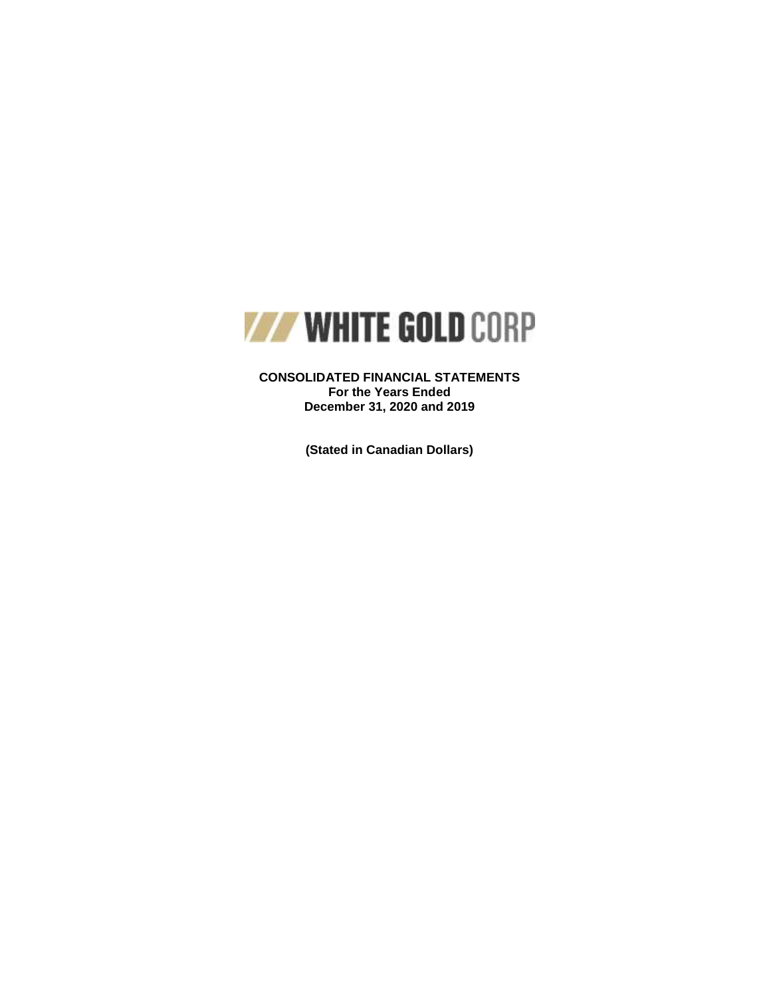

**CONSOLIDATED FINANCIAL STATEMENTS For the Years Ended December 31, 2020 and 2019**

**(Stated in Canadian Dollars)**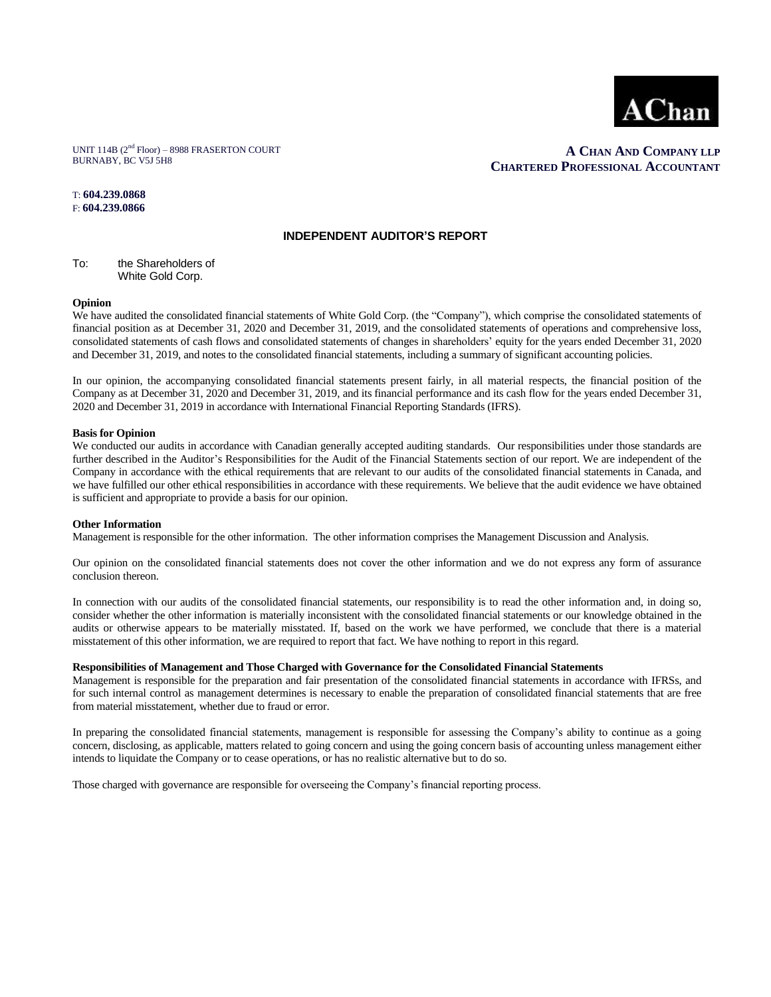

UNIT 114B (2nd Floor) – 8988 FRASERTON COURT BURNABY, BC V5J 5H8

## **A CHAN AND COMPANY LLP CHARTERED PROFESSIONAL ACCOUNTANT**

#### T: **604.239.0868**  F: **604.239.0866**

#### **INDEPENDENT AUDITOR'S REPORT**

To: the Shareholders of White Gold Corp.

#### **Opinion**

We have audited the consolidated financial statements of White Gold Corp. (the "Company"), which comprise the consolidated statements of financial position as at December 31, 2020 and December 31, 2019, and the consolidated statements of operations and comprehensive loss, consolidated statements of cash flows and consolidated statements of changes in shareholders' equity for the years ended December 31, 2020 and December 31, 2019, and notes to the consolidated financial statements, including a summary of significant accounting policies.

In our opinion, the accompanying consolidated financial statements present fairly, in all material respects, the financial position of the Company as at December 31, 2020 and December 31, 2019, and its financial performance and its cash flow for the years ended December 31, 2020 and December 31, 2019 in accordance with International Financial Reporting Standards (IFRS).

#### **Basis for Opinion**

We conducted our audits in accordance with Canadian generally accepted auditing standards. Our responsibilities under those standards are further described in the Auditor's Responsibilities for the Audit of the Financial Statements section of our report. We are independent of the Company in accordance with the ethical requirements that are relevant to our audits of the consolidated financial statements in Canada, and we have fulfilled our other ethical responsibilities in accordance with these requirements. We believe that the audit evidence we have obtained is sufficient and appropriate to provide a basis for our opinion.

#### **Other Information**

Management is responsible for the other information. The other information comprises the Management Discussion and Analysis.

Our opinion on the consolidated financial statements does not cover the other information and we do not express any form of assurance conclusion thereon.

In connection with our audits of the consolidated financial statements, our responsibility is to read the other information and, in doing so, consider whether the other information is materially inconsistent with the consolidated financial statements or our knowledge obtained in the audits or otherwise appears to be materially misstated. If, based on the work we have performed, we conclude that there is a material misstatement of this other information, we are required to report that fact. We have nothing to report in this regard.

#### **Responsibilities of Management and Those Charged with Governance for the Consolidated Financial Statements**

Management is responsible for the preparation and fair presentation of the consolidated financial statements in accordance with IFRSs, and for such internal control as management determines is necessary to enable the preparation of consolidated financial statements that are free from material misstatement, whether due to fraud or error.

In preparing the consolidated financial statements, management is responsible for assessing the Company's ability to continue as a going concern, disclosing, as applicable, matters related to going concern and using the going concern basis of accounting unless management either intends to liquidate the Company or to cease operations, or has no realistic alternative but to do so.

Those charged with governance are responsible for overseeing the Company's financial reporting process.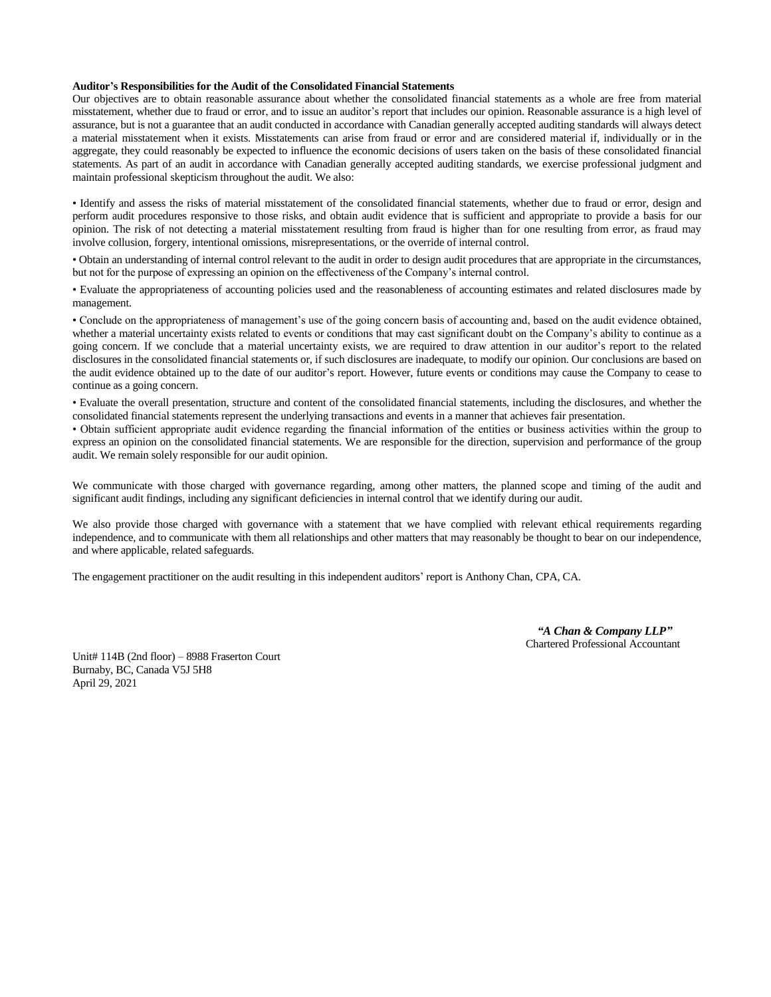#### **Auditor's Responsibilities for the Audit of the Consolidated Financial Statements**

Our objectives are to obtain reasonable assurance about whether the consolidated financial statements as a whole are free from material misstatement, whether due to fraud or error, and to issue an auditor's report that includes our opinion. Reasonable assurance is a high level of assurance, but is not a guarantee that an audit conducted in accordance with Canadian generally accepted auditing standards will always detect a material misstatement when it exists. Misstatements can arise from fraud or error and are considered material if, individually or in the aggregate, they could reasonably be expected to influence the economic decisions of users taken on the basis of these consolidated financial statements. As part of an audit in accordance with Canadian generally accepted auditing standards, we exercise professional judgment and maintain professional skepticism throughout the audit. We also:

• Identify and assess the risks of material misstatement of the consolidated financial statements, whether due to fraud or error, design and perform audit procedures responsive to those risks, and obtain audit evidence that is sufficient and appropriate to provide a basis for our opinion. The risk of not detecting a material misstatement resulting from fraud is higher than for one resulting from error, as fraud may involve collusion, forgery, intentional omissions, misrepresentations, or the override of internal control.

• Obtain an understanding of internal control relevant to the audit in order to design audit procedures that are appropriate in the circumstances, but not for the purpose of expressing an opinion on the effectiveness of the Company's internal control.

• Evaluate the appropriateness of accounting policies used and the reasonableness of accounting estimates and related disclosures made by management.

• Conclude on the appropriateness of management's use of the going concern basis of accounting and, based on the audit evidence obtained, whether a material uncertainty exists related to events or conditions that may cast significant doubt on the Company's ability to continue as a going concern. If we conclude that a material uncertainty exists, we are required to draw attention in our auditor's report to the related disclosures in the consolidated financial statements or, if such disclosures are inadequate, to modify our opinion. Our conclusions are based on the audit evidence obtained up to the date of our auditor's report. However, future events or conditions may cause the Company to cease to continue as a going concern.

• Evaluate the overall presentation, structure and content of the consolidated financial statements, including the disclosures, and whether the consolidated financial statements represent the underlying transactions and events in a manner that achieves fair presentation.

• Obtain sufficient appropriate audit evidence regarding the financial information of the entities or business activities within the group to express an opinion on the consolidated financial statements. We are responsible for the direction, supervision and performance of the group audit. We remain solely responsible for our audit opinion.

We communicate with those charged with governance regarding, among other matters, the planned scope and timing of the audit and significant audit findings, including any significant deficiencies in internal control that we identify during our audit.

We also provide those charged with governance with a statement that we have complied with relevant ethical requirements regarding independence, and to communicate with them all relationships and other matters that may reasonably be thought to bear on our independence, and where applicable, related safeguards.

The engagement practitioner on the audit resulting in this independent auditors' report is Anthony Chan, CPA, CA.

 *"A Chan & Company LLP"*  Chartered Professional Accountant

Unit# 114B (2nd floor) – 8988 Fraserton Court Burnaby, BC, Canada V5J 5H8 April 29, 2021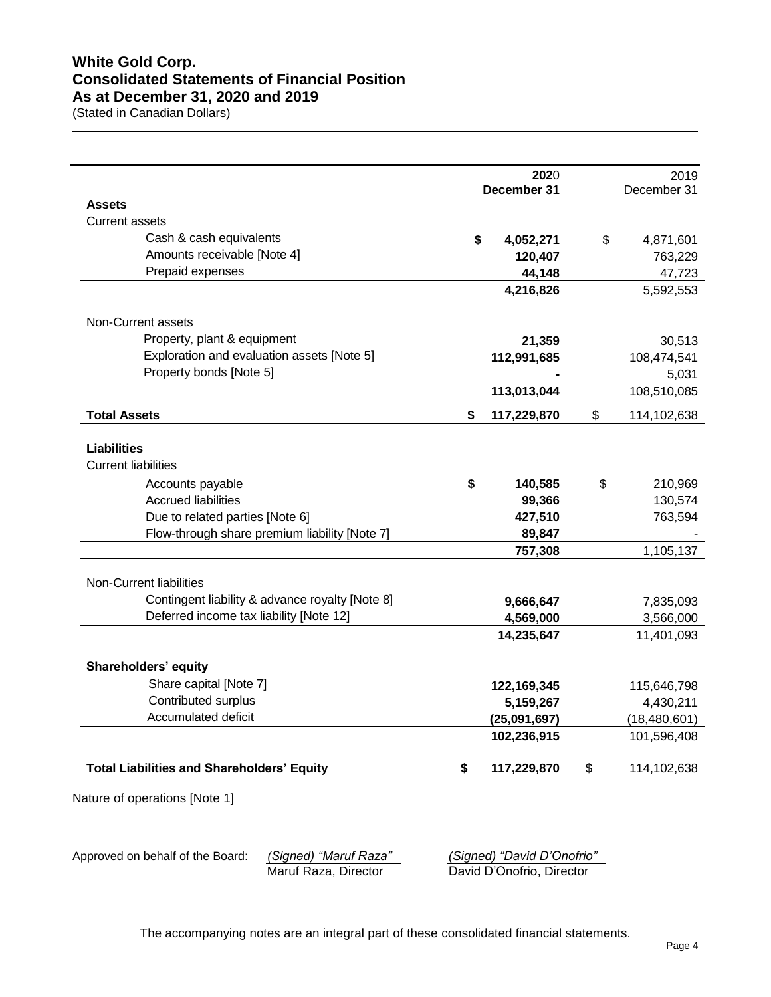# **White Gold Corp. Consolidated Statements of Financial Position As at December 31, 2020 and 2019**

(Stated in Canadian Dollars)

|                                                   |    | 2020         | 2019              |
|---------------------------------------------------|----|--------------|-------------------|
| <b>Assets</b>                                     |    | December 31  | December 31       |
| <b>Current assets</b>                             |    |              |                   |
| Cash & cash equivalents                           |    |              |                   |
| Amounts receivable [Note 4]                       | \$ | 4,052,271    | \$<br>4,871,601   |
| Prepaid expenses                                  |    | 120,407      | 763,229           |
|                                                   |    | 44,148       | 47,723            |
|                                                   |    | 4,216,826    | 5,592,553         |
| Non-Current assets                                |    |              |                   |
| Property, plant & equipment                       |    | 21,359       | 30,513            |
| Exploration and evaluation assets [Note 5]        |    | 112,991,685  | 108,474,541       |
| Property bonds [Note 5]                           |    |              | 5,031             |
|                                                   |    | 113,013,044  | 108,510,085       |
|                                                   |    |              |                   |
| <b>Total Assets</b>                               | S. | 117,229,870  | \$<br>114,102,638 |
|                                                   |    |              |                   |
| <b>Liabilities</b>                                |    |              |                   |
| <b>Current liabilities</b>                        |    |              |                   |
| Accounts payable                                  | \$ | 140,585      | \$<br>210,969     |
| <b>Accrued liabilities</b>                        |    | 99,366       | 130,574           |
| Due to related parties [Note 6]                   |    | 427,510      | 763,594           |
| Flow-through share premium liability [Note 7]     |    | 89,847       |                   |
|                                                   |    | 757,308      | 1,105,137         |
|                                                   |    |              |                   |
| Non-Current liabilities                           |    |              |                   |
| Contingent liability & advance royalty [Note 8]   |    | 9,666,647    | 7,835,093         |
| Deferred income tax liability [Note 12]           |    | 4,569,000    | 3,566,000         |
|                                                   |    | 14,235,647   | 11,401,093        |
|                                                   |    |              |                   |
| Shareholders' equity                              |    |              |                   |
| Share capital [Note 7]                            |    | 122,169,345  | 115,646,798       |
| Contributed surplus<br>Accumulated deficit        |    | 5,159,267    | 4,430,211         |
|                                                   |    | (25,091,697) | (18, 480, 601)    |
|                                                   |    | 102,236,915  | 101,596,408       |
| <b>Total Liabilities and Shareholders' Equity</b> | \$ | 117,229,870  | \$<br>114,102,638 |

Nature of operations [Note 1]

Approved on behalf of the Board: *(Signed) "Maruf Raza"*<br>Maruf Raza, Director

(Signed) "David D'Onofrio"<br>David D'Onofrio, Director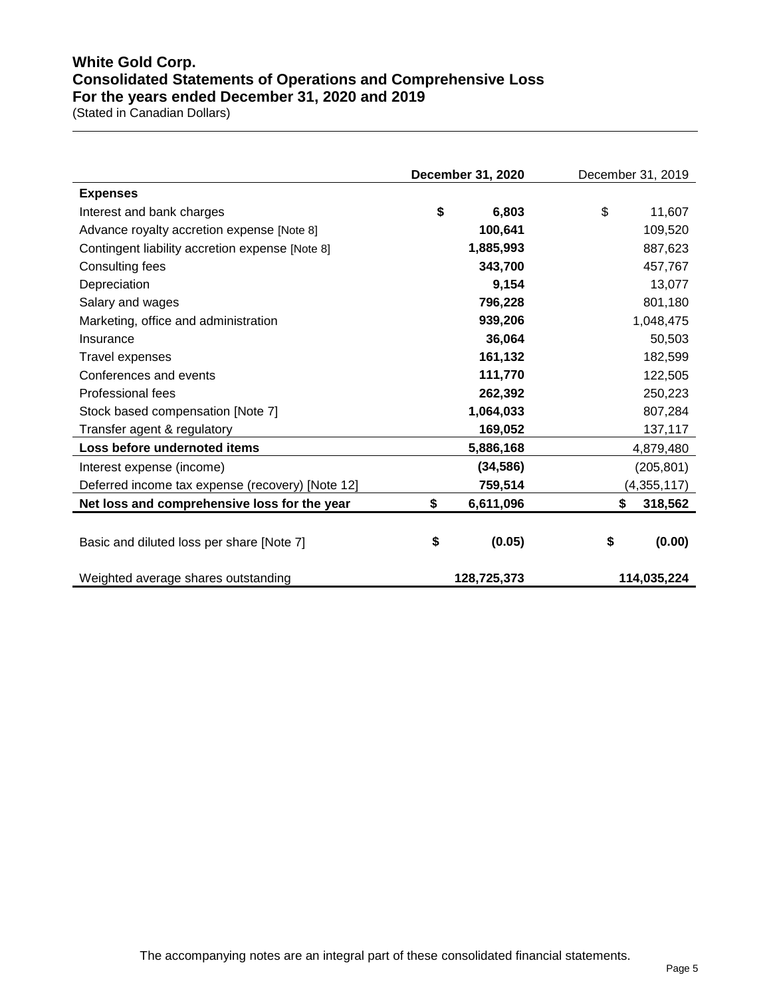# **White Gold Corp. Consolidated Statements of Operations and Comprehensive Loss For the years ended December 31, 2020 and 2019**

(Stated in Canadian Dollars)

|                                                  | December 31, 2020 | December 31, 2019 |
|--------------------------------------------------|-------------------|-------------------|
| <b>Expenses</b>                                  |                   |                   |
| Interest and bank charges                        | \$<br>6,803       | \$<br>11,607      |
| Advance royalty accretion expense [Note 8]       | 100,641           | 109,520           |
| Contingent liability accretion expense [Note 8]  | 1,885,993         | 887,623           |
| Consulting fees                                  | 343,700           | 457,767           |
| Depreciation                                     | 9,154             | 13,077            |
| Salary and wages                                 | 796,228           | 801,180           |
| Marketing, office and administration             | 939,206           | 1,048,475         |
| Insurance                                        | 36,064            | 50,503            |
| Travel expenses                                  | 161,132           | 182,599           |
| Conferences and events                           | 111,770           | 122,505           |
| Professional fees                                | 262,392           | 250,223           |
| Stock based compensation [Note 7]                | 1,064,033         | 807,284           |
| Transfer agent & regulatory                      | 169,052           | 137,117           |
| Loss before undernoted items                     | 5,886,168         | 4,879,480         |
| Interest expense (income)                        | (34, 586)         | (205, 801)        |
| Deferred income tax expense (recovery) [Note 12] | 759,514           | (4,355,117)       |
| Net loss and comprehensive loss for the year     | \$<br>6,611,096   | 318,562<br>S      |
| Basic and diluted loss per share [Note 7]        | \$<br>(0.05)      | \$<br>(0.00)      |
| Weighted average shares outstanding              | 128,725,373       | 114,035,224       |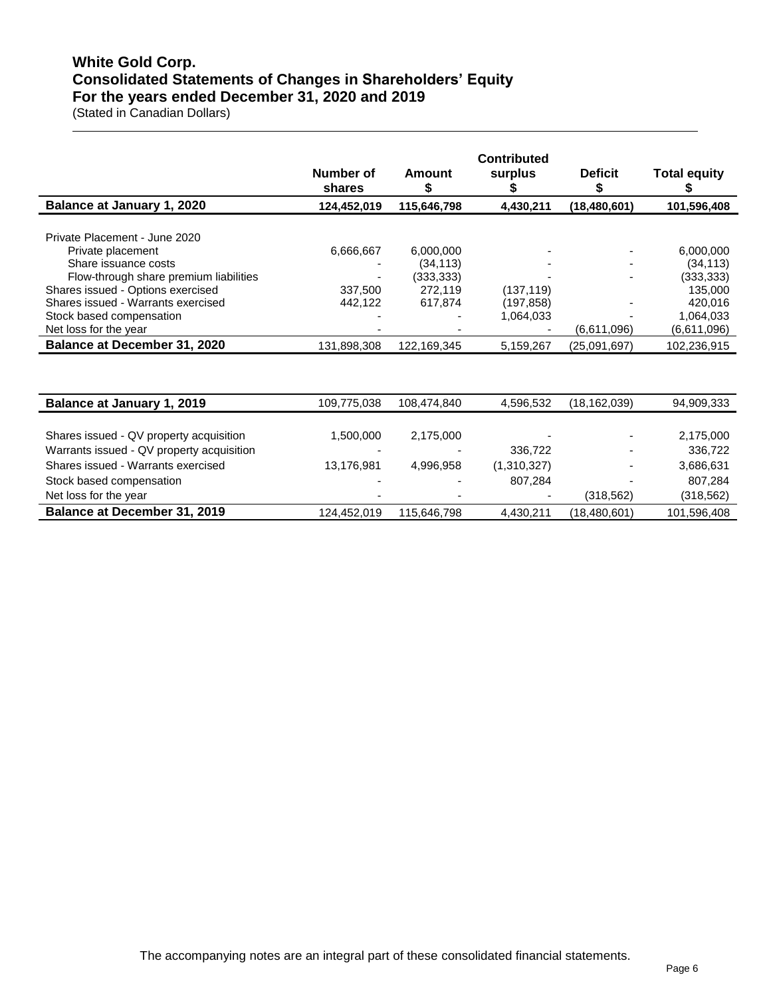# **White Gold Corp. Consolidated Statements of Changes in Shareholders' Equity For the years ended December 31, 2020 and 2019**

(Stated in Canadian Dollars)

|                                                                                                                                                                                                                                                      | Number of<br>shares             | Amount<br>\$                                               | <b>Contributed</b><br>surplus         | <b>Deficit</b><br>S | <b>Total equity</b>                                                                    |
|------------------------------------------------------------------------------------------------------------------------------------------------------------------------------------------------------------------------------------------------------|---------------------------------|------------------------------------------------------------|---------------------------------------|---------------------|----------------------------------------------------------------------------------------|
| Balance at January 1, 2020                                                                                                                                                                                                                           | 124,452,019                     | 115,646,798                                                | 4,430,211                             | (18, 480, 601)      | 101,596,408                                                                            |
| Private Placement - June 2020<br>Private placement<br>Share issuance costs<br>Flow-through share premium liabilities<br>Shares issued - Options exercised<br>Shares issued - Warrants exercised<br>Stock based compensation<br>Net loss for the year | 6,666,667<br>337,500<br>442,122 | 6,000,000<br>(34, 113)<br>(333, 333)<br>272,119<br>617,874 | (137, 119)<br>(197, 858)<br>1,064,033 | (6,611,096)         | 6,000,000<br>(34, 113)<br>(333, 333)<br>135,000<br>420,016<br>1,064,033<br>(6,611,096) |
| <b>Balance at December 31, 2020</b>                                                                                                                                                                                                                  | 131,898,308                     | 122,169,345                                                | 5,159,267                             | (25,091,697)        | 102,236,915                                                                            |
|                                                                                                                                                                                                                                                      |                                 |                                                            |                                       |                     |                                                                                        |
| Balance at January 1, 2019                                                                                                                                                                                                                           | 109,775,038                     | 108,474,840                                                | 4,596,532                             | (18, 162, 039)      | 94,909,333                                                                             |
| Shares issued - QV property acquisition<br>Warrants issued - QV property acquisition<br>Shares issued - Warrants exercised                                                                                                                           | 1,500,000<br>13,176,981         | 2,175,000<br>4,996,958                                     | 336,722<br>(1,310,327)                |                     | 2,175,000<br>336,722<br>3,686,631                                                      |
| Stock based compensation<br>Net loss for the year                                                                                                                                                                                                    |                                 |                                                            | 807,284                               | (318, 562)          | 807,284<br>(318, 562)                                                                  |

**Balance at December 31, 2019 124,452,019 115,646,798 4,430,211** (18,480,601) **101,596,408**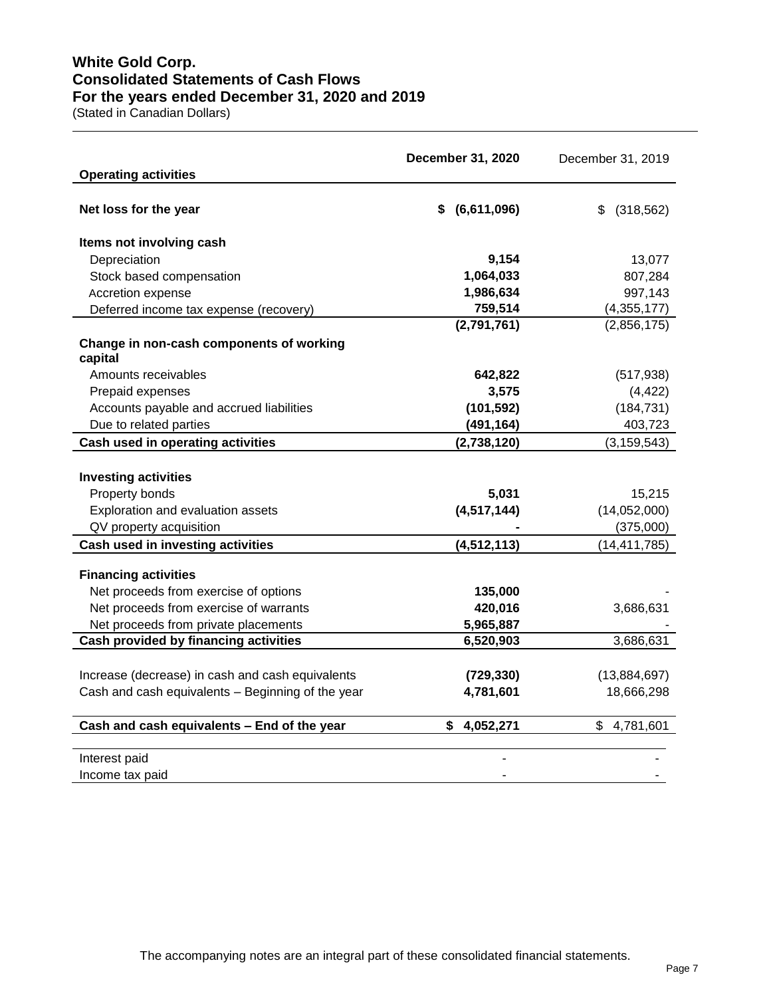# **White Gold Corp. Consolidated Statements of Cash Flows For the years ended December 31, 2020 and 2019**

(Stated in Canadian Dollars)

|                                                                      | December 31, 2020 | December 31, 2019 |
|----------------------------------------------------------------------|-------------------|-------------------|
| <b>Operating activities</b>                                          |                   |                   |
| Net loss for the year                                                | $$$ (6,611,096)   | (318, 562)<br>\$  |
| Items not involving cash                                             |                   |                   |
| Depreciation                                                         | 9,154             | 13,077            |
| Stock based compensation                                             | 1,064,033         | 807,284           |
| Accretion expense                                                    | 1,986,634         | 997,143           |
| Deferred income tax expense (recovery)                               | 759,514           | (4,355,177)       |
|                                                                      | (2,791,761)       | (2,856,175)       |
| Change in non-cash components of working                             |                   |                   |
| capital<br>Amounts receivables                                       | 642,822           | (517, 938)        |
| Prepaid expenses                                                     | 3,575             | (4, 422)          |
| Accounts payable and accrued liabilities                             | (101, 592)        | (184, 731)        |
| Due to related parties                                               | (491, 164)        | 403,723           |
| Cash used in operating activities                                    | (2,738,120)       | (3, 159, 543)     |
|                                                                      |                   |                   |
| <b>Investing activities</b>                                          |                   |                   |
| Property bonds                                                       | 5,031             | 15,215            |
| Exploration and evaluation assets                                    | (4, 517, 144)     | (14,052,000)      |
| QV property acquisition                                              |                   | (375,000)         |
| Cash used in investing activities                                    | (4, 512, 113)     | (14, 411, 785)    |
|                                                                      |                   |                   |
| <b>Financing activities</b><br>Net proceeds from exercise of options | 135,000           |                   |
| Net proceeds from exercise of warrants                               | 420,016           | 3,686,631         |
| Net proceeds from private placements                                 | 5,965,887         |                   |
| Cash provided by financing activities                                | 6,520,903         | 3,686,631         |
|                                                                      |                   |                   |
| Increase (decrease) in cash and cash equivalents                     | (729, 330)        | (13,884,697)      |
| Cash and cash equivalents - Beginning of the year                    | 4,781,601         | 18,666,298        |
|                                                                      |                   |                   |
| Cash and cash equivalents - End of the year                          | \$<br>4,052,271   | \$<br>4,781,601   |
| Interest paid                                                        |                   |                   |
| Income tax paid                                                      |                   |                   |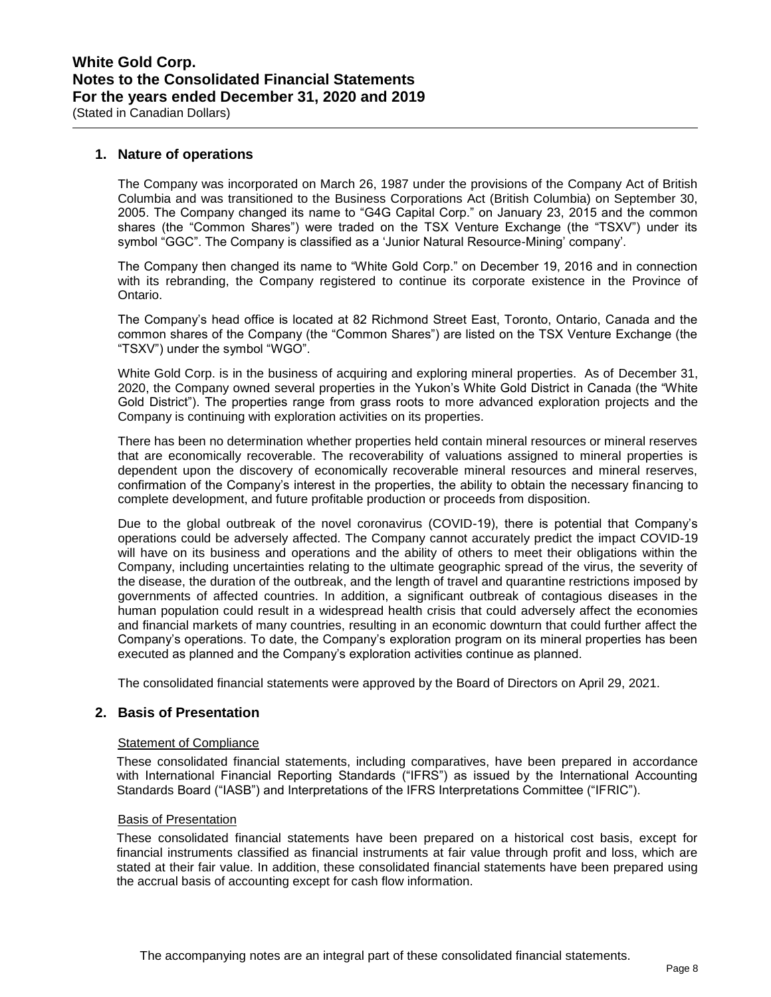**1. Nature of operations**

The Company was incorporated on March 26, 1987 under the provisions of the Company Act of British Columbia and was transitioned to the Business Corporations Act (British Columbia) on September 30, 2005. The Company changed its name to "G4G Capital Corp." on January 23, 2015 and the common shares (the "Common Shares") were traded on the TSX Venture Exchange (the "TSXV") under its symbol "GGC". The Company is classified as a 'Junior Natural Resource-Mining' company'.

The Company then changed its name to "White Gold Corp." on December 19, 2016 and in connection with its rebranding, the Company registered to continue its corporate existence in the Province of Ontario.

The Company's head office is located at 82 Richmond Street East, Toronto, Ontario, Canada and the common shares of the Company (the "Common Shares") are listed on the TSX Venture Exchange (the "TSXV") under the symbol "WGO".

White Gold Corp. is in the business of acquiring and exploring mineral properties. As of December 31, 2020, the Company owned several properties in the Yukon's White Gold District in Canada (the "White Gold District"). The properties range from grass roots to more advanced exploration projects and the Company is continuing with exploration activities on its properties.

There has been no determination whether properties held contain mineral resources or mineral reserves that are economically recoverable. The recoverability of valuations assigned to mineral properties is dependent upon the discovery of economically recoverable mineral resources and mineral reserves, confirmation of the Company's interest in the properties, the ability to obtain the necessary financing to complete development, and future profitable production or proceeds from disposition.

Due to the global outbreak of the novel coronavirus (COVID-19), there is potential that Company's operations could be adversely affected. The Company cannot accurately predict the impact COVID-19 will have on its business and operations and the ability of others to meet their obligations within the Company, including uncertainties relating to the ultimate geographic spread of the virus, the severity of the disease, the duration of the outbreak, and the length of travel and quarantine restrictions imposed by governments of affected countries. In addition, a significant outbreak of contagious diseases in the human population could result in a widespread health crisis that could adversely affect the economies and financial markets of many countries, resulting in an economic downturn that could further affect the Company's operations. To date, the Company's exploration program on its mineral properties has been executed as planned and the Company's exploration activities continue as planned.

The consolidated financial statements were approved by the Board of Directors on April 29, 2021.

## **2. Basis of Presentation**

### Statement of Compliance

These consolidated financial statements, including comparatives, have been prepared in accordance with International Financial Reporting Standards ("IFRS") as issued by the International Accounting Standards Board ("IASB") and Interpretations of the IFRS Interpretations Committee ("IFRIC").

### Basis of Presentation

These consolidated financial statements have been prepared on a historical cost basis, except for financial instruments classified as financial instruments at fair value through profit and loss, which are stated at their fair value. In addition, these consolidated financial statements have been prepared using the accrual basis of accounting except for cash flow information.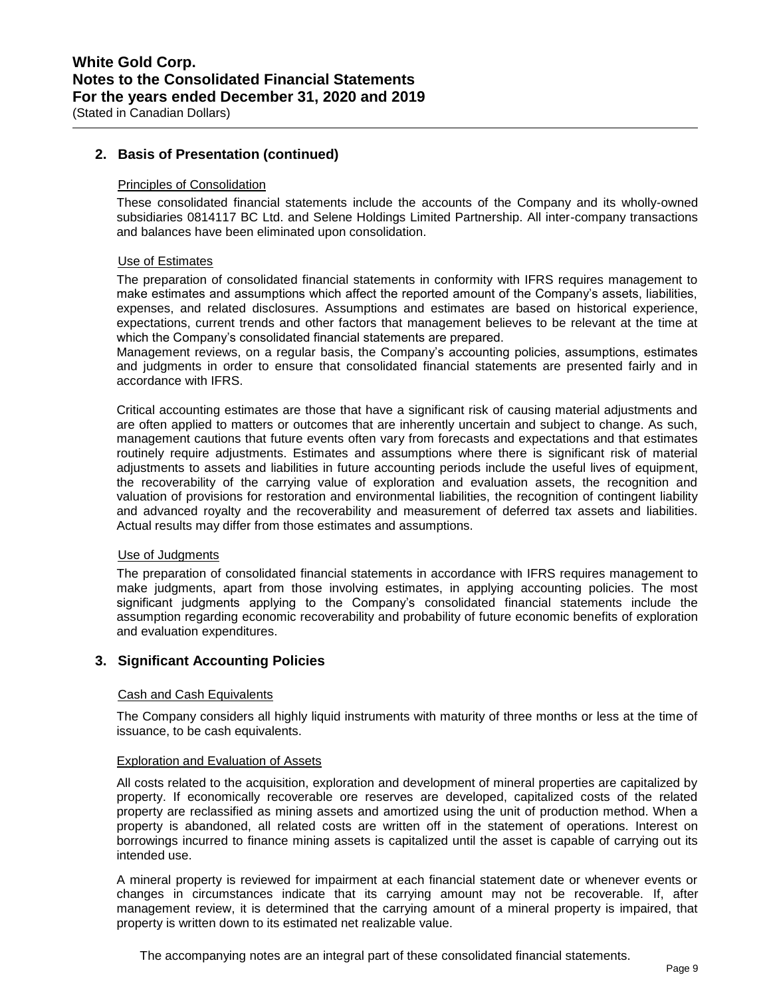### **2. Basis of Presentation (continued)**

#### Principles of Consolidation

These consolidated financial statements include the accounts of the Company and its wholly-owned subsidiaries 0814117 BC Ltd. and Selene Holdings Limited Partnership. All inter-company transactions and balances have been eliminated upon consolidation.

#### Use of Estimates

The preparation of consolidated financial statements in conformity with IFRS requires management to make estimates and assumptions which affect the reported amount of the Company's assets, liabilities, expenses, and related disclosures. Assumptions and estimates are based on historical experience, expectations, current trends and other factors that management believes to be relevant at the time at which the Company's consolidated financial statements are prepared.

Management reviews, on a regular basis, the Company's accounting policies, assumptions, estimates and judgments in order to ensure that consolidated financial statements are presented fairly and in accordance with IFRS.

Critical accounting estimates are those that have a significant risk of causing material adjustments and are often applied to matters or outcomes that are inherently uncertain and subject to change. As such, management cautions that future events often vary from forecasts and expectations and that estimates routinely require adjustments. Estimates and assumptions where there is significant risk of material adjustments to assets and liabilities in future accounting periods include the useful lives of equipment, the recoverability of the carrying value of exploration and evaluation assets, the recognition and valuation of provisions for restoration and environmental liabilities, the recognition of contingent liability and advanced royalty and the recoverability and measurement of deferred tax assets and liabilities. Actual results may differ from those estimates and assumptions.

#### Use of Judgments

The preparation of consolidated financial statements in accordance with IFRS requires management to make judgments, apart from those involving estimates, in applying accounting policies. The most significant judgments applying to the Company's consolidated financial statements include the assumption regarding economic recoverability and probability of future economic benefits of exploration and evaluation expenditures.

### **3. Significant Accounting Policies**

#### Cash and Cash Equivalents

The Company considers all highly liquid instruments with maturity of three months or less at the time of issuance, to be cash equivalents.

#### Exploration and Evaluation of Assets

All costs related to the acquisition, exploration and development of mineral properties are capitalized by property. If economically recoverable ore reserves are developed, capitalized costs of the related property are reclassified as mining assets and amortized using the unit of production method. When a property is abandoned, all related costs are written off in the statement of operations. Interest on borrowings incurred to finance mining assets is capitalized until the asset is capable of carrying out its intended use.

A mineral property is reviewed for impairment at each financial statement date or whenever events or changes in circumstances indicate that its carrying amount may not be recoverable. If, after management review, it is determined that the carrying amount of a mineral property is impaired, that property is written down to its estimated net realizable value.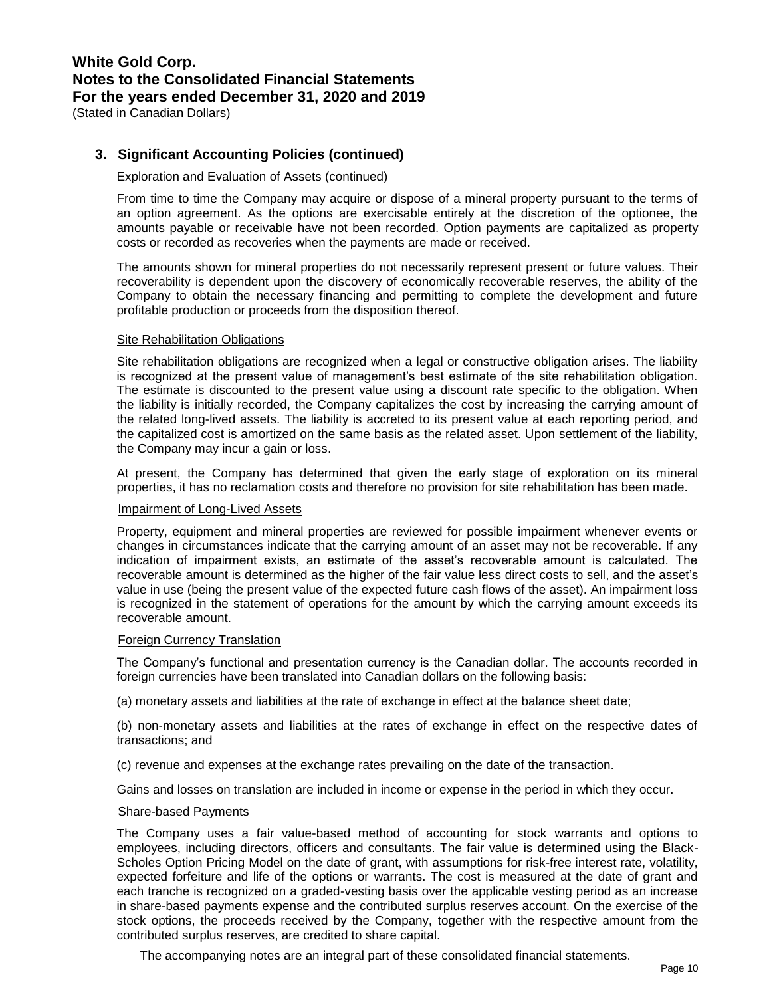## **3. Significant Accounting Policies (continued)**

#### Exploration and Evaluation of Assets (continued)

From time to time the Company may acquire or dispose of a mineral property pursuant to the terms of an option agreement. As the options are exercisable entirely at the discretion of the optionee, the amounts payable or receivable have not been recorded. Option payments are capitalized as property costs or recorded as recoveries when the payments are made or received.

The amounts shown for mineral properties do not necessarily represent present or future values. Their recoverability is dependent upon the discovery of economically recoverable reserves, the ability of the Company to obtain the necessary financing and permitting to complete the development and future profitable production or proceeds from the disposition thereof.

#### **Site Rehabilitation Obligations**

Site rehabilitation obligations are recognized when a legal or constructive obligation arises. The liability is recognized at the present value of management's best estimate of the site rehabilitation obligation. The estimate is discounted to the present value using a discount rate specific to the obligation. When the liability is initially recorded, the Company capitalizes the cost by increasing the carrying amount of the related long-lived assets. The liability is accreted to its present value at each reporting period, and the capitalized cost is amortized on the same basis as the related asset. Upon settlement of the liability, the Company may incur a gain or loss.

At present, the Company has determined that given the early stage of exploration on its mineral properties, it has no reclamation costs and therefore no provision for site rehabilitation has been made.

#### Impairment of Long-Lived Assets

Property, equipment and mineral properties are reviewed for possible impairment whenever events or changes in circumstances indicate that the carrying amount of an asset may not be recoverable. If any indication of impairment exists, an estimate of the asset's recoverable amount is calculated. The recoverable amount is determined as the higher of the fair value less direct costs to sell, and the asset's value in use (being the present value of the expected future cash flows of the asset). An impairment loss is recognized in the statement of operations for the amount by which the carrying amount exceeds its recoverable amount.

### Foreign Currency Translation

The Company's functional and presentation currency is the Canadian dollar. The accounts recorded in foreign currencies have been translated into Canadian dollars on the following basis:

(a) monetary assets and liabilities at the rate of exchange in effect at the balance sheet date;

(b) non-monetary assets and liabilities at the rates of exchange in effect on the respective dates of transactions; and

(c) revenue and expenses at the exchange rates prevailing on the date of the transaction.

Gains and losses on translation are included in income or expense in the period in which they occur.

#### Share-based Payments

The Company uses a fair value-based method of accounting for stock warrants and options to employees, including directors, officers and consultants. The fair value is determined using the Black-Scholes Option Pricing Model on the date of grant, with assumptions for risk-free interest rate, volatility, expected forfeiture and life of the options or warrants. The cost is measured at the date of grant and each tranche is recognized on a graded-vesting basis over the applicable vesting period as an increase in share-based payments expense and the contributed surplus reserves account. On the exercise of the stock options, the proceeds received by the Company, together with the respective amount from the contributed surplus reserves, are credited to share capital.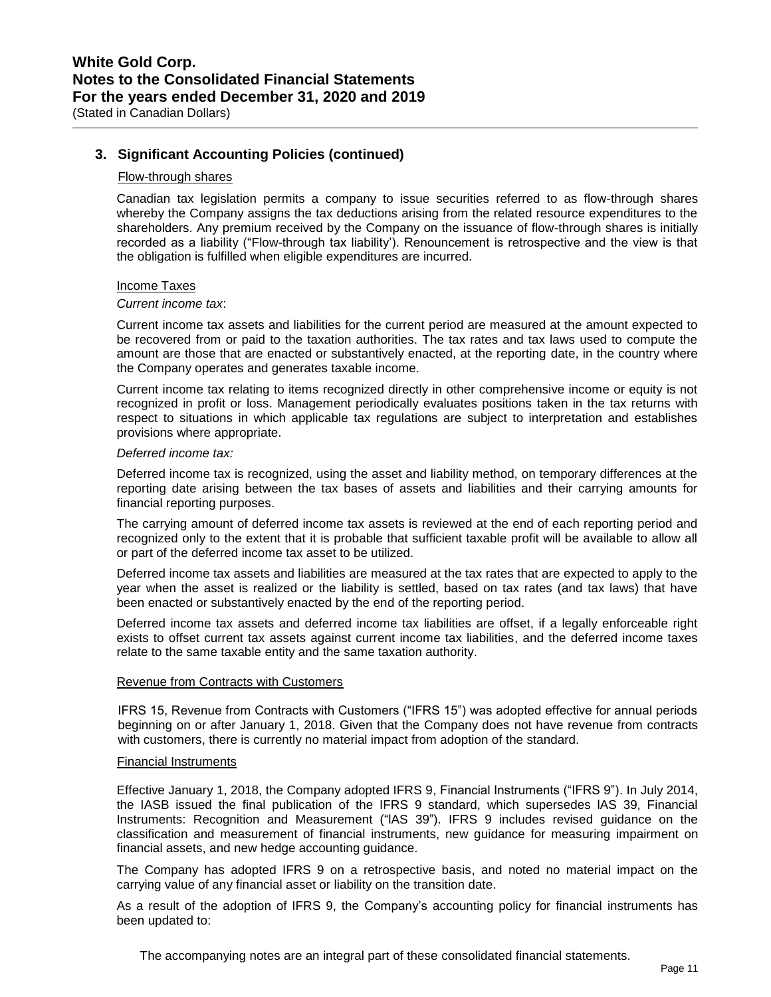## **3. Significant Accounting Policies (continued)**

#### Flow-through shares

Canadian tax legislation permits a company to issue securities referred to as flow-through shares whereby the Company assigns the tax deductions arising from the related resource expenditures to the shareholders. Any premium received by the Company on the issuance of flow-through shares is initially recorded as a liability ("Flow-through tax liability'). Renouncement is retrospective and the view is that the obligation is fulfilled when eligible expenditures are incurred.

#### Income Taxes

#### *Current income tax*:

Current income tax assets and liabilities for the current period are measured at the amount expected to be recovered from or paid to the taxation authorities. The tax rates and tax laws used to compute the amount are those that are enacted or substantively enacted, at the reporting date, in the country where the Company operates and generates taxable income.

Current income tax relating to items recognized directly in other comprehensive income or equity is not recognized in profit or loss. Management periodically evaluates positions taken in the tax returns with respect to situations in which applicable tax regulations are subject to interpretation and establishes provisions where appropriate.

#### *Deferred income tax:*

Deferred income tax is recognized, using the asset and liability method, on temporary differences at the reporting date arising between the tax bases of assets and liabilities and their carrying amounts for financial reporting purposes.

The carrying amount of deferred income tax assets is reviewed at the end of each reporting period and recognized only to the extent that it is probable that sufficient taxable profit will be available to allow all or part of the deferred income tax asset to be utilized.

Deferred income tax assets and liabilities are measured at the tax rates that are expected to apply to the year when the asset is realized or the liability is settled, based on tax rates (and tax laws) that have been enacted or substantively enacted by the end of the reporting period.

Deferred income tax assets and deferred income tax liabilities are offset, if a legally enforceable right exists to offset current tax assets against current income tax liabilities, and the deferred income taxes relate to the same taxable entity and the same taxation authority.

### Revenue from Contracts with Customers

IFRS 15, Revenue from Contracts with Customers ("IFRS 15") was adopted effective for annual periods beginning on or after January 1, 2018. Given that the Company does not have revenue from contracts with customers, there is currently no material impact from adoption of the standard.

#### Financial Instruments

Effective January 1, 2018, the Company adopted IFRS 9, Financial Instruments ("IFRS 9"). In July 2014, the IASB issued the final publication of the IFRS 9 standard, which supersedes lAS 39, Financial Instruments: Recognition and Measurement ("lAS 39"). IFRS 9 includes revised guidance on the classification and measurement of financial instruments, new guidance for measuring impairment on financial assets, and new hedge accounting guidance.

The Company has adopted IFRS 9 on a retrospective basis, and noted no material impact on the carrying value of any financial asset or liability on the transition date.

As a result of the adoption of IFRS 9, the Company's accounting policy for financial instruments has been updated to: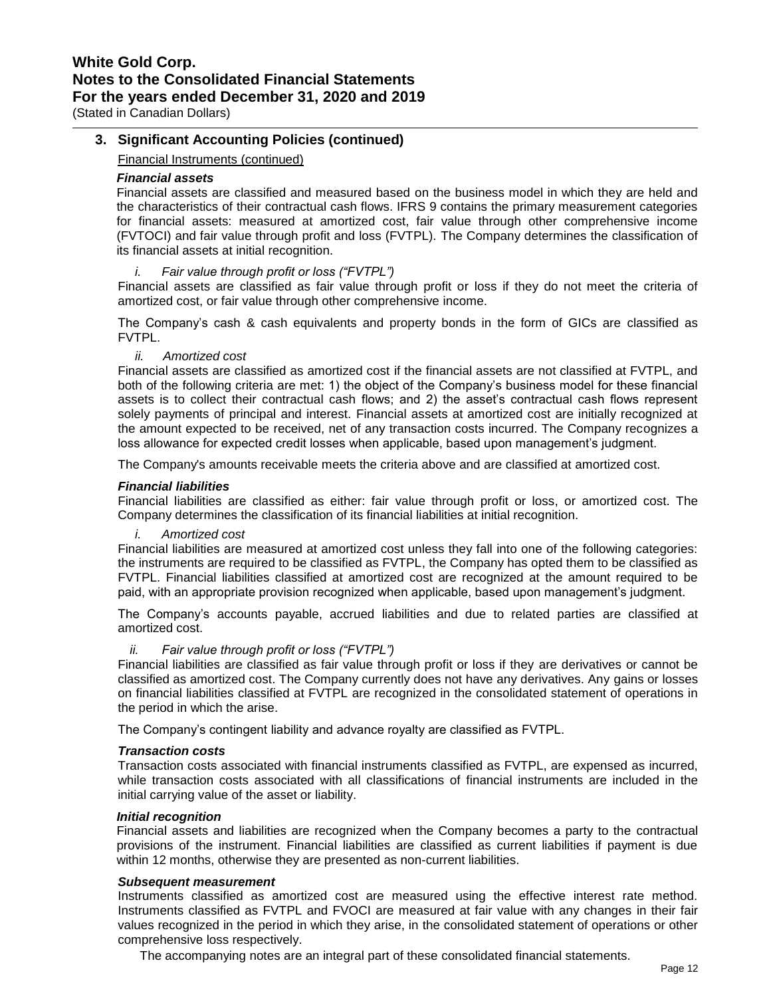# **3. Significant Accounting Policies (continued)**

Financial Instruments (continued)

#### *Financial assets*

Financial assets are classified and measured based on the business model in which they are held and the characteristics of their contractual cash flows. IFRS 9 contains the primary measurement categories for financial assets: measured at amortized cost, fair value through other comprehensive income (FVTOCI) and fair value through profit and loss (FVTPL). The Company determines the classification of its financial assets at initial recognition.

#### *i. Fair value through profit or loss ("FVTPL")*

Financial assets are classified as fair value through profit or loss if they do not meet the criteria of amortized cost, or fair value through other comprehensive income.

The Company's cash & cash equivalents and property bonds in the form of GICs are classified as FVTPL.

*ii. Amortized cost*

Financial assets are classified as amortized cost if the financial assets are not classified at FVTPL, and both of the following criteria are met: 1) the object of the Company's business model for these financial assets is to collect their contractual cash flows; and 2) the asset's contractual cash flows represent solely payments of principal and interest. Financial assets at amortized cost are initially recognized at the amount expected to be received, net of any transaction costs incurred. The Company recognizes a loss allowance for expected credit losses when applicable, based upon management's judgment.

The Company's amounts receivable meets the criteria above and are classified at amortized cost.

#### *Financial liabilities*

Financial liabilities are classified as either: fair value through profit or loss, or amortized cost. The Company determines the classification of its financial liabilities at initial recognition.

*i. Amortized cost* 

Financial liabilities are measured at amortized cost unless they fall into one of the following categories: the instruments are required to be classified as FVTPL, the Company has opted them to be classified as FVTPL. Financial liabilities classified at amortized cost are recognized at the amount required to be paid, with an appropriate provision recognized when applicable, based upon management's judgment.

The Company's accounts payable, accrued liabilities and due to related parties are classified at amortized cost.

### *ii. Fair value through profit or loss ("FVTPL")*

Financial liabilities are classified as fair value through profit or loss if they are derivatives or cannot be classified as amortized cost. The Company currently does not have any derivatives. Any gains or losses on financial liabilities classified at FVTPL are recognized in the consolidated statement of operations in the period in which the arise.

The Company's contingent liability and advance royalty are classified as FVTPL.

#### *Transaction costs*

Transaction costs associated with financial instruments classified as FVTPL, are expensed as incurred, while transaction costs associated with all classifications of financial instruments are included in the initial carrying value of the asset or liability.

#### *Initial recognition*

Financial assets and liabilities are recognized when the Company becomes a party to the contractual provisions of the instrument. Financial liabilities are classified as current liabilities if payment is due within 12 months, otherwise they are presented as non-current liabilities.

#### *Subsequent measurement*

Instruments classified as amortized cost are measured using the effective interest rate method. Instruments classified as FVTPL and FVOCI are measured at fair value with any changes in their fair values recognized in the period in which they arise, in the consolidated statement of operations or other comprehensive loss respectively.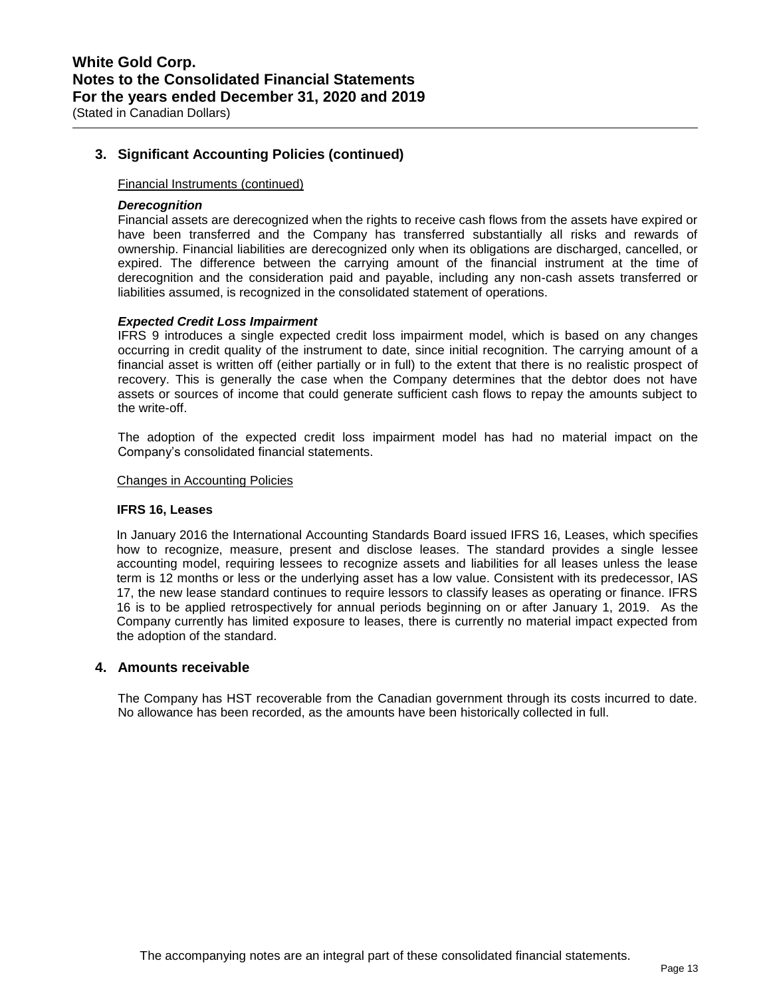**3. Significant Accounting Policies (continued)**

#### Financial Instruments (continued)

#### *Derecognition*

Financial assets are derecognized when the rights to receive cash flows from the assets have expired or have been transferred and the Company has transferred substantially all risks and rewards of ownership. Financial liabilities are derecognized only when its obligations are discharged, cancelled, or expired. The difference between the carrying amount of the financial instrument at the time of derecognition and the consideration paid and payable, including any non-cash assets transferred or liabilities assumed, is recognized in the consolidated statement of operations.

#### *Expected Credit Loss Impairment*

IFRS 9 introduces a single expected credit loss impairment model, which is based on any changes occurring in credit quality of the instrument to date, since initial recognition. The carrying amount of a financial asset is written off (either partially or in full) to the extent that there is no realistic prospect of recovery. This is generally the case when the Company determines that the debtor does not have assets or sources of income that could generate sufficient cash flows to repay the amounts subject to the write-off.

The adoption of the expected credit loss impairment model has had no material impact on the Company's consolidated financial statements.

#### Changes in Accounting Policies

#### **IFRS 16, Leases**

In January 2016 the International Accounting Standards Board issued IFRS 16, Leases, which specifies how to recognize, measure, present and disclose leases. The standard provides a single lessee accounting model, requiring lessees to recognize assets and liabilities for all leases unless the lease term is 12 months or less or the underlying asset has a low value. Consistent with its predecessor, IAS 17, the new lease standard continues to require lessors to classify leases as operating or finance. IFRS 16 is to be applied retrospectively for annual periods beginning on or after January 1, 2019. As the Company currently has limited exposure to leases, there is currently no material impact expected from the adoption of the standard.

#### **4. Amounts receivable**

The Company has HST recoverable from the Canadian government through its costs incurred to date. No allowance has been recorded, as the amounts have been historically collected in full.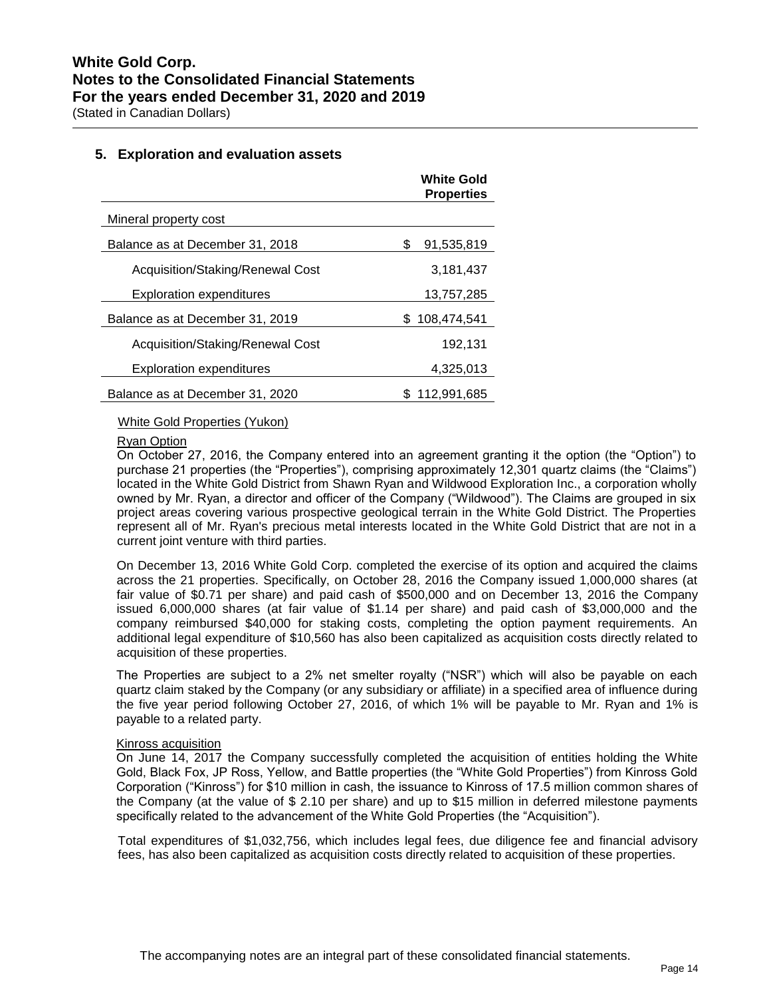### **5. Exploration and evaluation assets**

|                                  | <b>White Gold</b><br><b>Properties</b> |
|----------------------------------|----------------------------------------|
| Mineral property cost            |                                        |
| Balance as at December 31, 2018  | \$<br>91,535,819                       |
| Acquisition/Staking/Renewal Cost | 3,181,437                              |
| <b>Exploration expenditures</b>  | 13,757,285                             |
| Balance as at December 31, 2019  | \$108,474,541                          |
| Acquisition/Staking/Renewal Cost | 192,131                                |
| <b>Exploration expenditures</b>  | 4,325,013                              |
| Balance as at December 31, 2020  | 112.991.685                            |

### White Gold Properties (Yukon)

#### Ryan Option

On October 27, 2016, the Company entered into an agreement granting it the option (the "Option") to purchase 21 properties (the "Properties"), comprising approximately 12,301 quartz claims (the "Claims") located in the White Gold District from Shawn Ryan and Wildwood Exploration Inc., a corporation wholly owned by Mr. Ryan, a director and officer of the Company ("Wildwood"). The Claims are grouped in six project areas covering various prospective geological terrain in the White Gold District. The Properties represent all of Mr. Ryan's precious metal interests located in the White Gold District that are not in a current joint venture with third parties.

On December 13, 2016 White Gold Corp. completed the exercise of its option and acquired the claims across the 21 properties. Specifically, on October 28, 2016 the Company issued 1,000,000 shares (at fair value of \$0.71 per share) and paid cash of \$500,000 and on December 13, 2016 the Company issued 6,000,000 shares (at fair value of \$1.14 per share) and paid cash of \$3,000,000 and the company reimbursed \$40,000 for staking costs, completing the option payment requirements. An additional legal expenditure of \$10,560 has also been capitalized as acquisition costs directly related to acquisition of these properties.

The Properties are subject to a 2% net smelter royalty ("NSR") which will also be payable on each quartz claim staked by the Company (or any subsidiary or affiliate) in a specified area of influence during the five year period following October 27, 2016, of which 1% will be payable to Mr. Ryan and 1% is payable to a related party.

#### Kinross acquisition

On June 14, 2017 the Company successfully completed the acquisition of entities holding the White Gold, Black Fox, JP Ross, Yellow, and Battle properties (the "White Gold Properties") from Kinross Gold Corporation ("Kinross") for \$10 million in cash, the issuance to Kinross of 17.5 million common shares of the Company (at the value of \$ 2.10 per share) and up to \$15 million in deferred milestone payments specifically related to the advancement of the White Gold Properties (the "Acquisition").

Total expenditures of \$1,032,756, which includes legal fees, due diligence fee and financial advisory fees, has also been capitalized as acquisition costs directly related to acquisition of these properties.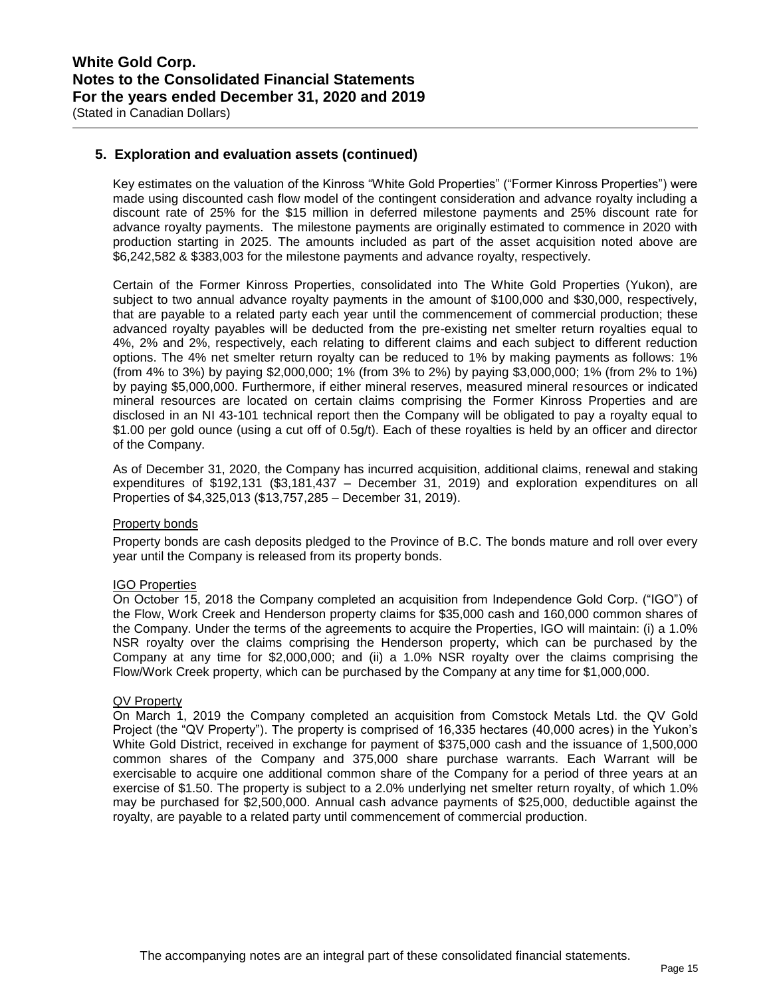## **5. Exploration and evaluation assets (continued)**

Key estimates on the valuation of the Kinross "White Gold Properties" ("Former Kinross Properties") were made using discounted cash flow model of the contingent consideration and advance royalty including a discount rate of 25% for the \$15 million in deferred milestone payments and 25% discount rate for advance royalty payments. The milestone payments are originally estimated to commence in 2020 with production starting in 2025. The amounts included as part of the asset acquisition noted above are \$6,242,582 & \$383,003 for the milestone payments and advance royalty, respectively.

Certain of the Former Kinross Properties, consolidated into The White Gold Properties (Yukon), are subject to two annual advance royalty payments in the amount of \$100,000 and \$30,000, respectively, that are payable to a related party each year until the commencement of commercial production; these advanced royalty payables will be deducted from the pre-existing net smelter return royalties equal to 4%, 2% and 2%, respectively, each relating to different claims and each subject to different reduction options. The 4% net smelter return royalty can be reduced to 1% by making payments as follows: 1% (from 4% to 3%) by paying \$2,000,000; 1% (from 3% to 2%) by paying \$3,000,000; 1% (from 2% to 1%) by paying \$5,000,000. Furthermore, if either mineral reserves, measured mineral resources or indicated mineral resources are located on certain claims comprising the Former Kinross Properties and are disclosed in an NI 43-101 technical report then the Company will be obligated to pay a royalty equal to \$1.00 per gold ounce (using a cut off of 0.5g/t). Each of these royalties is held by an officer and director of the Company.

As of December 31, 2020, the Company has incurred acquisition, additional claims, renewal and staking expenditures of \$192,131 (\$3,181,437 – December 31, 2019) and exploration expenditures on all Properties of \$4,325,013 (\$13,757,285 – December 31, 2019).

### Property bonds

Property bonds are cash deposits pledged to the Province of B.C. The bonds mature and roll over every year until the Company is released from its property bonds.

#### IGO Properties

On October 15, 2018 the Company completed an acquisition from Independence Gold Corp. ("IGO") of the Flow, Work Creek and Henderson property claims for \$35,000 cash and 160,000 common shares of the Company. Under the terms of the agreements to acquire the Properties, IGO will maintain: (i) a 1.0% NSR royalty over the claims comprising the Henderson property, which can be purchased by the Company at any time for \$2,000,000; and (ii) a 1.0% NSR royalty over the claims comprising the Flow/Work Creek property, which can be purchased by the Company at any time for \$1,000,000.

#### QV Property

On March 1, 2019 the Company completed an acquisition from Comstock Metals Ltd. the QV Gold Project (the "QV Property"). The property is comprised of 16,335 hectares (40,000 acres) in the Yukon's White Gold District, received in exchange for payment of \$375,000 cash and the issuance of 1,500,000 common shares of the Company and 375,000 share purchase warrants. Each Warrant will be exercisable to acquire one additional common share of the Company for a period of three years at an exercise of \$1.50. The property is subject to a 2.0% underlying net smelter return royalty, of which 1.0% may be purchased for \$2,500,000. Annual cash advance payments of \$25,000, deductible against the royalty, are payable to a related party until commencement of commercial production.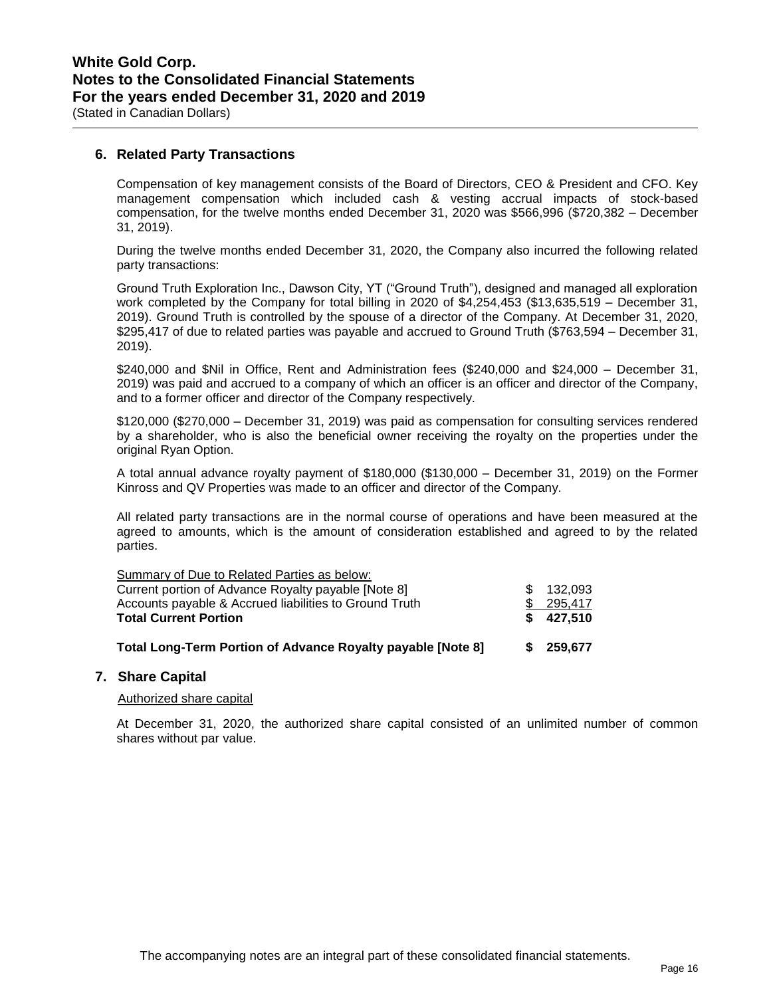**6. Related Party Transactions**

Compensation of key management consists of the Board of Directors, CEO & President and CFO. Key management compensation which included cash & vesting accrual impacts of stock-based compensation, for the twelve months ended December 31, 2020 was \$566,996 (\$720,382 – December 31, 2019).

During the twelve months ended December 31, 2020, the Company also incurred the following related party transactions:

Ground Truth Exploration Inc., Dawson City, YT ("Ground Truth"), designed and managed all exploration work completed by the Company for total billing in 2020 of \$4,254,453 (\$13,635,519 – December 31, 2019). Ground Truth is controlled by the spouse of a director of the Company. At December 31, 2020, \$295,417 of due to related parties was payable and accrued to Ground Truth (\$763,594 – December 31, 2019).

\$240,000 and \$Nil in Office, Rent and Administration fees (\$240,000 and \$24,000 – December 31, 2019) was paid and accrued to a company of which an officer is an officer and director of the Company, and to a former officer and director of the Company respectively.

\$120,000 (\$270,000 – December 31, 2019) was paid as compensation for consulting services rendered by a shareholder, who is also the beneficial owner receiving the royalty on the properties under the original Ryan Option.

A total annual advance royalty payment of \$180,000 (\$130,000 – December 31, 2019) on the Former Kinross and QV Properties was made to an officer and director of the Company.

All related party transactions are in the normal course of operations and have been measured at the agreed to amounts, which is the amount of consideration established and agreed to by the related parties.

| Total Long-Term Portion of Advance Royalty payable [Note 8] | S. | 259.677 |
|-------------------------------------------------------------|----|---------|
| <b>Total Current Portion</b>                                | S. | 427,510 |
| Accounts payable & Accrued liabilities to Ground Truth      |    | 295.417 |
| Current portion of Advance Royalty payable [Note 8]         | £. | 132,093 |
| Summary of Due to Related Parties as below:                 |    |         |

### **7. Share Capital**

### Authorized share capital

At December 31, 2020, the authorized share capital consisted of an unlimited number of common shares without par value.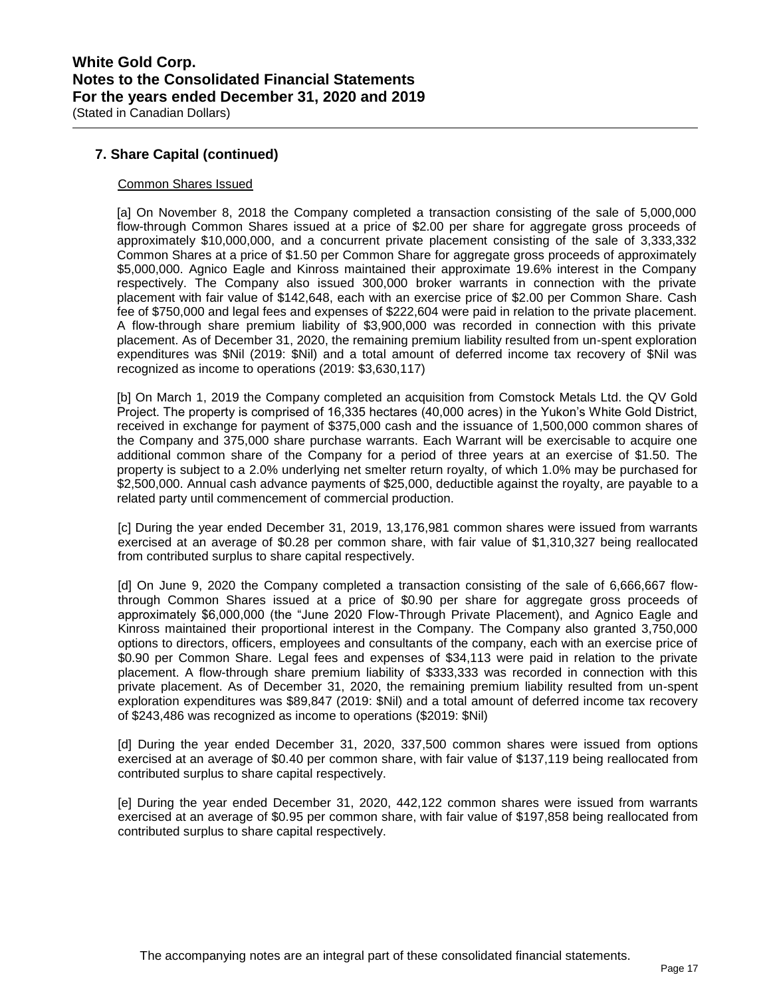## **7. Share Capital (continued)**

### Common Shares Issued

[a] On November 8, 2018 the Company completed a transaction consisting of the sale of 5,000,000 flow-through Common Shares issued at a price of \$2.00 per share for aggregate gross proceeds of approximately \$10,000,000, and a concurrent private placement consisting of the sale of 3,333,332 Common Shares at a price of \$1.50 per Common Share for aggregate gross proceeds of approximately \$5,000,000. Agnico Eagle and Kinross maintained their approximate 19.6% interest in the Company respectively. The Company also issued 300,000 broker warrants in connection with the private placement with fair value of \$142,648, each with an exercise price of \$2.00 per Common Share. Cash fee of \$750,000 and legal fees and expenses of \$222,604 were paid in relation to the private placement. A flow-through share premium liability of \$3,900,000 was recorded in connection with this private placement. As of December 31, 2020, the remaining premium liability resulted from un-spent exploration expenditures was \$Nil (2019: \$Nil) and a total amount of deferred income tax recovery of \$Nil was recognized as income to operations (2019: \$3,630,117)

[b] On March 1, 2019 the Company completed an acquisition from Comstock Metals Ltd. the QV Gold Project. The property is comprised of 16,335 hectares (40,000 acres) in the Yukon's White Gold District, received in exchange for payment of \$375,000 cash and the issuance of 1,500,000 common shares of the Company and 375,000 share purchase warrants. Each Warrant will be exercisable to acquire one additional common share of the Company for a period of three years at an exercise of \$1.50. The property is subject to a 2.0% underlying net smelter return royalty, of which 1.0% may be purchased for \$2,500,000. Annual cash advance payments of \$25,000, deductible against the royalty, are payable to a related party until commencement of commercial production.

[c] During the year ended December 31, 2019, 13,176,981 common shares were issued from warrants exercised at an average of \$0.28 per common share, with fair value of \$1,310,327 being reallocated from contributed surplus to share capital respectively.

[d] On June 9, 2020 the Company completed a transaction consisting of the sale of 6,666,667 flowthrough Common Shares issued at a price of \$0.90 per share for aggregate gross proceeds of approximately \$6,000,000 (the "June 2020 Flow-Through Private Placement), and Agnico Eagle and Kinross maintained their proportional interest in the Company. The Company also granted 3,750,000 options to directors, officers, employees and consultants of the company, each with an exercise price of \$0.90 per Common Share. Legal fees and expenses of \$34,113 were paid in relation to the private placement. A flow-through share premium liability of \$333,333 was recorded in connection with this private placement. As of December 31, 2020, the remaining premium liability resulted from un-spent exploration expenditures was \$89,847 (2019: \$Nil) and a total amount of deferred income tax recovery of \$243,486 was recognized as income to operations (\$2019: \$Nil)

[d] During the year ended December 31, 2020, 337,500 common shares were issued from options exercised at an average of \$0.40 per common share, with fair value of \$137,119 being reallocated from contributed surplus to share capital respectively.

[e] During the year ended December 31, 2020, 442,122 common shares were issued from warrants exercised at an average of \$0.95 per common share, with fair value of \$197,858 being reallocated from contributed surplus to share capital respectively.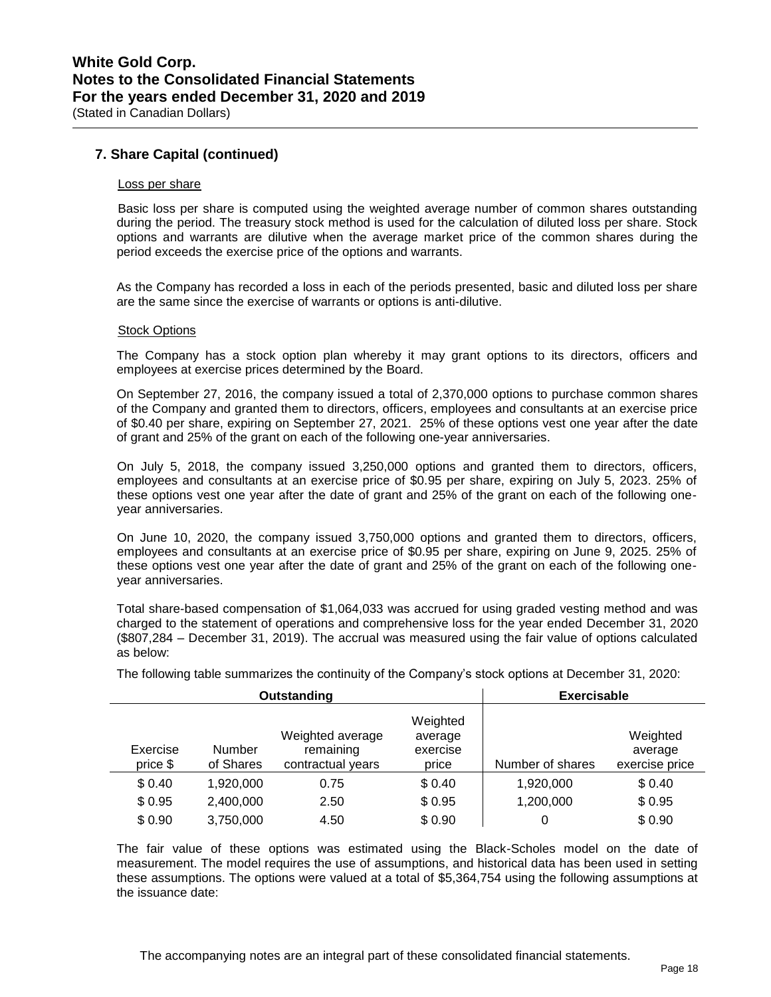### **7. Share Capital (continued)**

#### Loss per share

Basic loss per share is computed using the weighted average number of common shares outstanding during the period. The treasury stock method is used for the calculation of diluted loss per share. Stock options and warrants are dilutive when the average market price of the common shares during the period exceeds the exercise price of the options and warrants.

As the Company has recorded a loss in each of the periods presented, basic and diluted loss per share are the same since the exercise of warrants or options is anti-dilutive.

#### Stock Options

The Company has a stock option plan whereby it may grant options to its directors, officers and employees at exercise prices determined by the Board.

On September 27, 2016, the company issued a total of 2,370,000 options to purchase common shares of the Company and granted them to directors, officers, employees and consultants at an exercise price of \$0.40 per share, expiring on September 27, 2021. 25% of these options vest one year after the date of grant and 25% of the grant on each of the following one-year anniversaries.

On July 5, 2018, the company issued 3,250,000 options and granted them to directors, officers, employees and consultants at an exercise price of \$0.95 per share, expiring on July 5, 2023. 25% of these options vest one year after the date of grant and 25% of the grant on each of the following oneyear anniversaries.

On June 10, 2020, the company issued 3,750,000 options and granted them to directors, officers, employees and consultants at an exercise price of \$0.95 per share, expiring on June 9, 2025. 25% of these options vest one year after the date of grant and 25% of the grant on each of the following oneyear anniversaries.

Total share-based compensation of \$1,064,033 was accrued for using graded vesting method and was charged to the statement of operations and comprehensive loss for the year ended December 31, 2020 (\$807,284 – December 31, 2019). The accrual was measured using the fair value of options calculated as below:

|                      | Outstanding                | <b>Exercisable</b>                                 |                                          |                  |                                       |
|----------------------|----------------------------|----------------------------------------------------|------------------------------------------|------------------|---------------------------------------|
| Exercise<br>price \$ | <b>Number</b><br>of Shares | Weighted average<br>remaining<br>contractual years | Weighted<br>average<br>exercise<br>price | Number of shares | Weighted<br>average<br>exercise price |
| \$0.40               | 1,920,000                  | 0.75                                               | \$0.40                                   | 1,920,000        | \$0.40                                |
| \$0.95               | 2,400,000                  | 2.50                                               | \$0.95                                   | 1,200,000        | \$0.95                                |
| \$0.90               | 3,750,000                  | 4.50                                               | \$0.90                                   | 0                | \$0.90                                |

The following table summarizes the continuity of the Company's stock options at December 31, 2020:

The fair value of these options was estimated using the Black-Scholes model on the date of measurement. The model requires the use of assumptions, and historical data has been used in setting these assumptions. The options were valued at a total of \$5,364,754 using the following assumptions at the issuance date: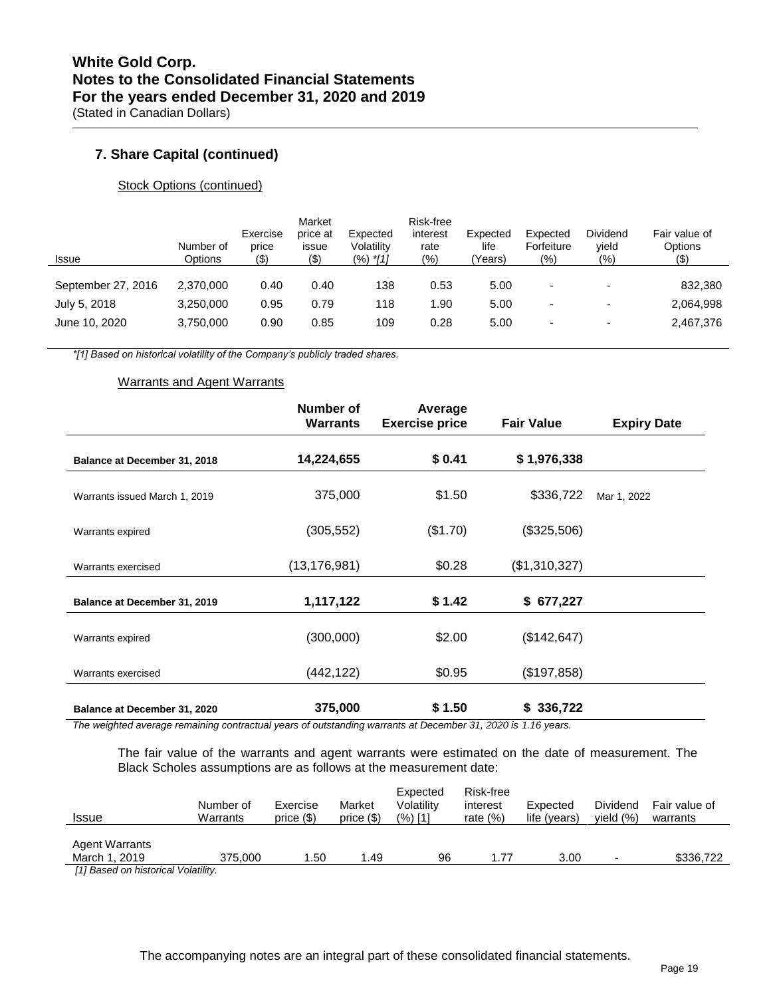## **7. Share Capital (continued)**

### Stock Options (continued)

| <b>Issue</b>       | Number of<br>Options | Exercise<br>price<br>$($ \$) | Market<br>price at<br>issue<br>(\$) | Expected<br>Volatility<br>$(%)$ *[1] | Risk-free<br>interest<br>rate<br>$(\%)$ | Expected<br>life<br>Years) | Expected<br>Forfeiture<br>(9) | Dividend<br>yield<br>$(\% )$ | Fair value of<br>Options<br>(\$) |
|--------------------|----------------------|------------------------------|-------------------------------------|--------------------------------------|-----------------------------------------|----------------------------|-------------------------------|------------------------------|----------------------------------|
| September 27, 2016 | 2.370.000            | 0.40                         | 0.40                                | 138                                  | 0.53                                    | 5.00                       | $\overline{\phantom{0}}$      | $\overline{\phantom{0}}$     | 832,380                          |
| July 5, 2018       | 3.250.000            | 0.95                         | 0.79                                | 118                                  | 1.90                                    | 5.00                       | ٠                             | $\overline{\phantom{0}}$     | 2,064,998                        |
| June 10, 2020      | 3.750.000            | 0.90                         | 0.85                                | 109                                  | 0.28                                    | 5.00                       | $\overline{\phantom{0}}$      | $\overline{\phantom{a}}$     | 2,467,376                        |

*\*[1] Based on historical volatility of the Company's publicly traded shares.*

### Warrants and Agent Warrants

|                               | <b>Number of</b><br><b>Warrants</b> | Average<br><b>Exercise price</b> | <b>Fair Value</b> | <b>Expiry Date</b> |
|-------------------------------|-------------------------------------|----------------------------------|-------------------|--------------------|
| Balance at December 31, 2018  | 14,224,655                          | \$0.41                           | \$1,976,338       |                    |
| Warrants issued March 1, 2019 | 375,000                             | \$1.50                           | \$336,722         | Mar 1, 2022        |
| Warrants expired              | (305, 552)                          | (\$1.70)                         | (\$325,506)       |                    |
| Warrants exercised            | (13, 176, 981)                      | \$0.28                           | (\$1,310,327)     |                    |
| Balance at December 31, 2019  | 1,117,122                           | \$1.42                           | \$677,227         |                    |
| Warrants expired              | (300,000)                           | \$2.00                           | (\$142, 647)      |                    |
| Warrants exercised            | (442,122)                           | \$0.95                           | (\$197,858)       |                    |
| Balance at December 31, 2020  | 375,000                             | \$1.50                           | \$336,722         |                    |

*The weighted average remaining contractual years of outstanding warrants at December 31, 2020 is 1.16 years.*

The fair value of the warrants and agent warrants were estimated on the date of measurement. The Black Scholes assumptions are as follows at the measurement date:

| <b>Issue</b>                                                                                       | Number of<br>Warrants | Exercise<br>price $($ \$) | Market<br>price $($ \$) | Volatility<br>(%) [1] | interest<br>rate $(\%)$ | Expected<br>life (years) | Dividend<br>vield<br>(% ) | Fair value of<br>warrants |
|----------------------------------------------------------------------------------------------------|-----------------------|---------------------------|-------------------------|-----------------------|-------------------------|--------------------------|---------------------------|---------------------------|
| <b>Agent Warrants</b><br>March 1, 2019<br><b>EAR Production between the control of the control</b> | 375,000               | .50                       | 1.49                    | 96                    | 1.77                    | 3.00                     |                           | \$336.722                 |

*[1] Based on historical Volatility.*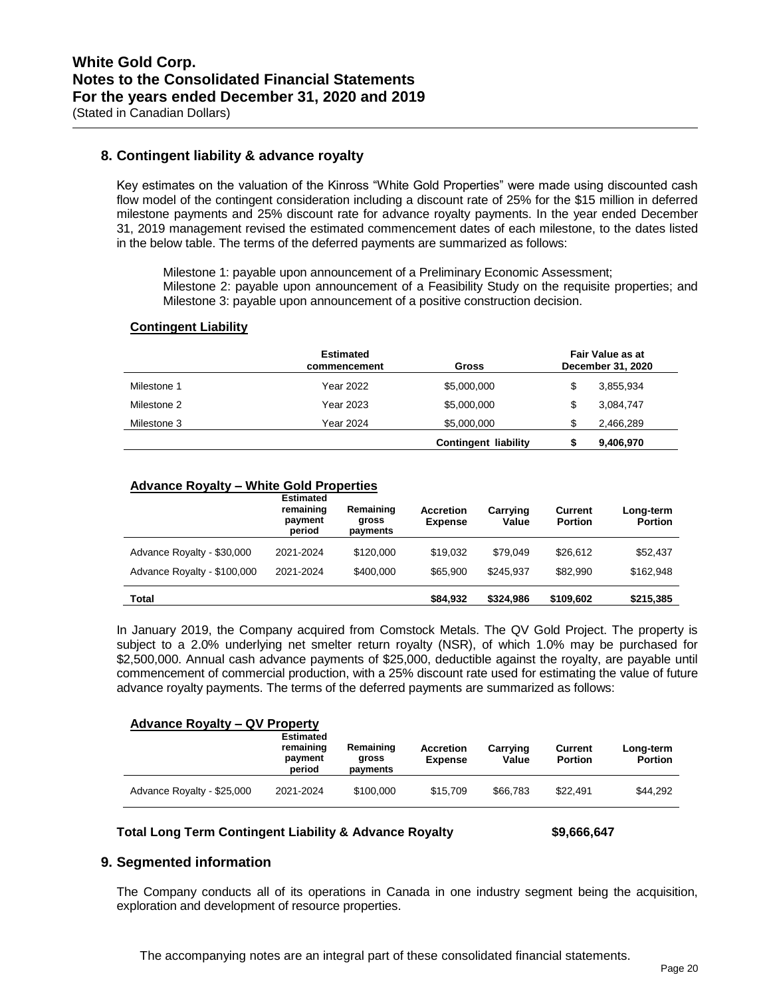### **8. Contingent liability & advance royalty**

Key estimates on the valuation of the Kinross "White Gold Properties" were made using discounted cash flow model of the contingent consideration including a discount rate of 25% for the \$15 million in deferred milestone payments and 25% discount rate for advance royalty payments. In the year ended December 31, 2019 management revised the estimated commencement dates of each milestone, to the dates listed in the below table. The terms of the deferred payments are summarized as follows:

Milestone 1: payable upon announcement of a Preliminary Economic Assessment; Milestone 2: payable upon announcement of a Feasibility Study on the requisite properties; and Milestone 3: payable upon announcement of a positive construction decision.

#### **Contingent Liability**

|             | <b>Estimated</b><br>commencement | Gross                       | Fair Value as at<br>December 31, 2020 |           |  |
|-------------|----------------------------------|-----------------------------|---------------------------------------|-----------|--|
| Milestone 1 | Year 2022                        | \$5,000,000                 | \$                                    | 3,855,934 |  |
| Milestone 2 | Year 2023                        | \$5,000,000                 | \$                                    | 3,084,747 |  |
| Milestone 3 | <b>Year 2024</b>                 | \$5,000,000                 | \$                                    | 2,466,289 |  |
|             |                                  | <b>Contingent liability</b> |                                       | 9,406,970 |  |

### **Advance Royalty – White Gold Properties**

|                             | <b>Estimated</b><br>remaining<br>payment<br>period | Remaining<br>gross<br>payments | <b>Accretion</b><br><b>Expense</b> | Carrying<br>Value | <b>Current</b><br><b>Portion</b> | Long-term<br><b>Portion</b> |
|-----------------------------|----------------------------------------------------|--------------------------------|------------------------------------|-------------------|----------------------------------|-----------------------------|
| Advance Royalty - \$30,000  | 2021-2024                                          | \$120,000                      | \$19,032                           | \$79.049          | \$26,612                         | \$52,437                    |
| Advance Royalty - \$100,000 | 2021-2024                                          | \$400,000                      | \$65,900                           | \$245.937         | \$82,990                         | \$162.948                   |
| Total                       |                                                    |                                | \$84,932                           | \$324,986         | \$109,602                        | \$215,385                   |

In January 2019, the Company acquired from Comstock Metals. The QV Gold Project. The property is subject to a 2.0% underlying net smelter return royalty (NSR), of which 1.0% may be purchased for \$2,500,000. Annual cash advance payments of \$25,000, deductible against the royalty, are payable until commencement of commercial production, with a 25% discount rate used for estimating the value of future advance royalty payments. The terms of the deferred payments are summarized as follows:

#### **Advance Royalty – QV Property**

|                            | <b>Estimated</b><br>remaining<br>payment<br>period | Remaining<br>gross<br>payments | <b>Accretion</b><br><b>Expense</b> | Carrying<br>Value | Current<br><b>Portion</b> | Long-term<br><b>Portion</b> |
|----------------------------|----------------------------------------------------|--------------------------------|------------------------------------|-------------------|---------------------------|-----------------------------|
| Advance Royalty - \$25,000 | 2021-2024                                          | \$100,000                      | \$15,709                           | \$66,783          | \$22.491                  | \$44.292                    |

#### **Total Long Term Contingent Liability & Advance Royalty \$9,666,647**

### **9. Segmented information**

The Company conducts all of its operations in Canada in one industry segment being the acquisition, exploration and development of resource properties.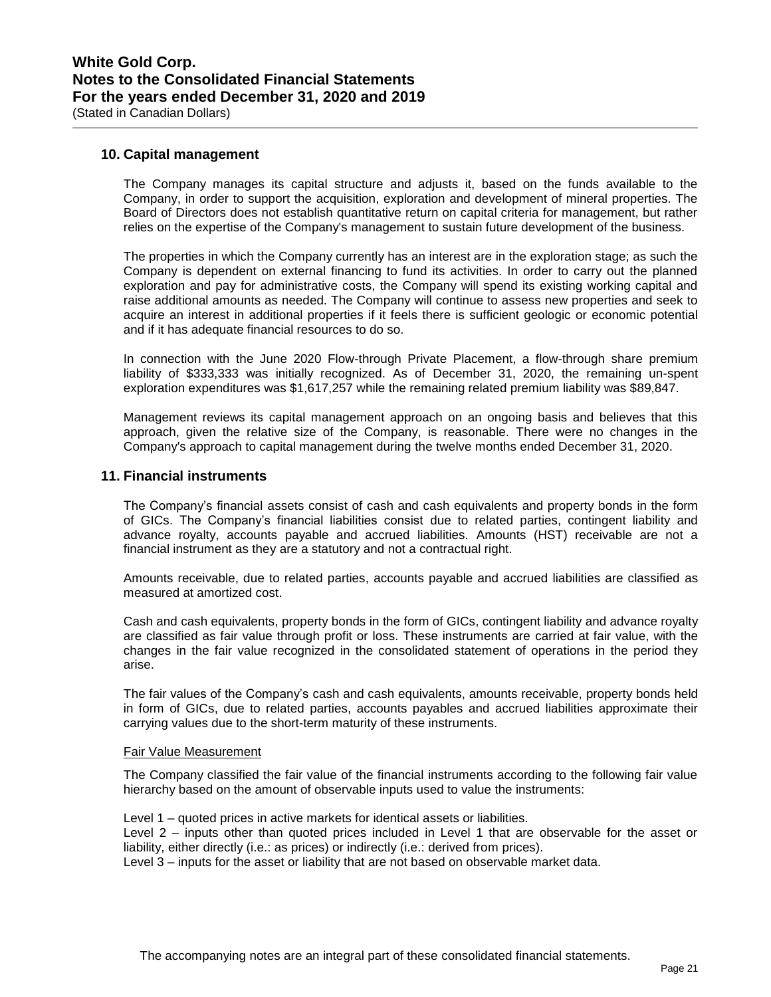### **10. Capital management**

The Company manages its capital structure and adjusts it, based on the funds available to the Company, in order to support the acquisition, exploration and development of mineral properties. The Board of Directors does not establish quantitative return on capital criteria for management, but rather relies on the expertise of the Company's management to sustain future development of the business.

The properties in which the Company currently has an interest are in the exploration stage; as such the Company is dependent on external financing to fund its activities. In order to carry out the planned exploration and pay for administrative costs, the Company will spend its existing working capital and raise additional amounts as needed. The Company will continue to assess new properties and seek to acquire an interest in additional properties if it feels there is sufficient geologic or economic potential and if it has adequate financial resources to do so.

In connection with the June 2020 Flow-through Private Placement, a flow-through share premium liability of \$333,333 was initially recognized. As of December 31, 2020, the remaining un-spent exploration expenditures was \$1,617,257 while the remaining related premium liability was \$89,847.

Management reviews its capital management approach on an ongoing basis and believes that this approach, given the relative size of the Company, is reasonable. There were no changes in the Company's approach to capital management during the twelve months ended December 31, 2020.

### **11. Financial instruments**

The Company's financial assets consist of cash and cash equivalents and property bonds in the form of GICs. The Company's financial liabilities consist due to related parties, contingent liability and advance royalty, accounts payable and accrued liabilities. Amounts (HST) receivable are not a financial instrument as they are a statutory and not a contractual right.

Amounts receivable, due to related parties, accounts payable and accrued liabilities are classified as measured at amortized cost.

Cash and cash equivalents, property bonds in the form of GICs, contingent liability and advance royalty are classified as fair value through profit or loss. These instruments are carried at fair value, with the changes in the fair value recognized in the consolidated statement of operations in the period they arise.

The fair values of the Company's cash and cash equivalents, amounts receivable, property bonds held in form of GICs, due to related parties, accounts payables and accrued liabilities approximate their carrying values due to the short-term maturity of these instruments.

#### Fair Value Measurement

The Company classified the fair value of the financial instruments according to the following fair value hierarchy based on the amount of observable inputs used to value the instruments:

Level 1 – quoted prices in active markets for identical assets or liabilities. Level 2 – inputs other than quoted prices included in Level 1 that are observable for the asset or liability, either directly (i.e.: as prices) or indirectly (i.e.: derived from prices).

Level 3 – inputs for the asset or liability that are not based on observable market data.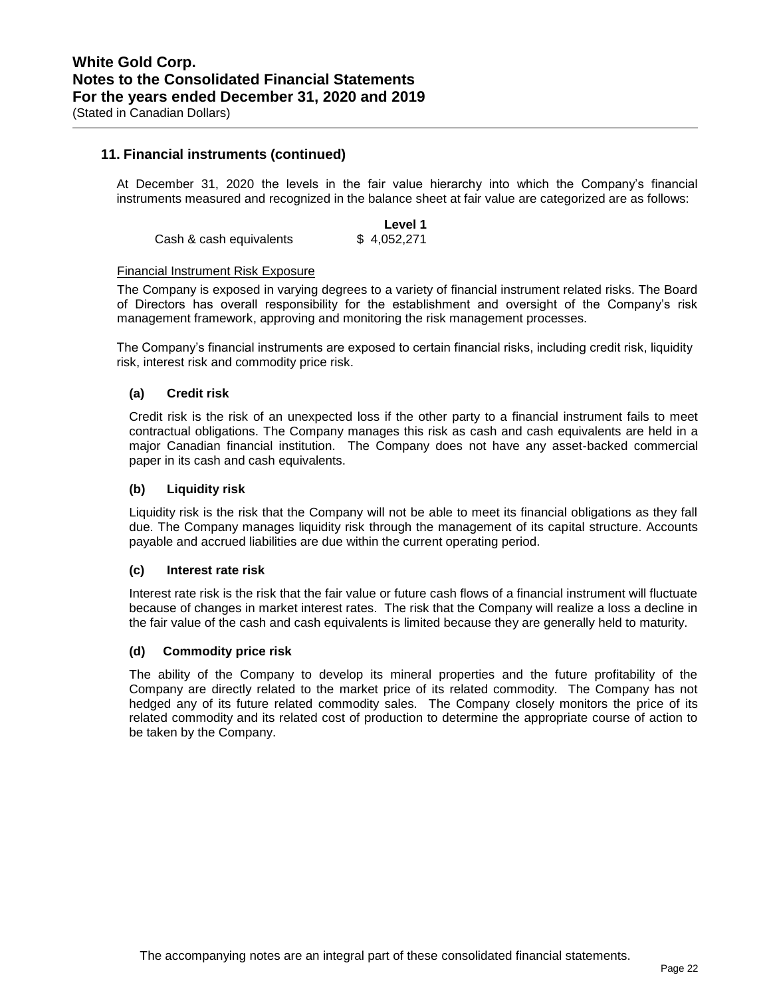### **11. Financial instruments (continued)**

At December 31, 2020 the levels in the fair value hierarchy into which the Company's financial instruments measured and recognized in the balance sheet at fair value are categorized are as follows:

**Level 1**  Cash & cash equivalents \$4,052,271

#### Financial Instrument Risk Exposure

The Company is exposed in varying degrees to a variety of financial instrument related risks. The Board of Directors has overall responsibility for the establishment and oversight of the Company's risk management framework, approving and monitoring the risk management processes.

The Company's financial instruments are exposed to certain financial risks, including credit risk, liquidity risk, interest risk and commodity price risk.

#### **(a) Credit risk**

Credit risk is the risk of an unexpected loss if the other party to a financial instrument fails to meet contractual obligations. The Company manages this risk as cash and cash equivalents are held in a major Canadian financial institution. The Company does not have any asset-backed commercial paper in its cash and cash equivalents.

#### **(b) Liquidity risk**

Liquidity risk is the risk that the Company will not be able to meet its financial obligations as they fall due. The Company manages liquidity risk through the management of its capital structure. Accounts payable and accrued liabilities are due within the current operating period.

#### **(c) Interest rate risk**

Interest rate risk is the risk that the fair value or future cash flows of a financial instrument will fluctuate because of changes in market interest rates. The risk that the Company will realize a loss a decline in the fair value of the cash and cash equivalents is limited because they are generally held to maturity.

#### **(d) Commodity price risk**

The ability of the Company to develop its mineral properties and the future profitability of the Company are directly related to the market price of its related commodity. The Company has not hedged any of its future related commodity sales. The Company closely monitors the price of its related commodity and its related cost of production to determine the appropriate course of action to be taken by the Company.